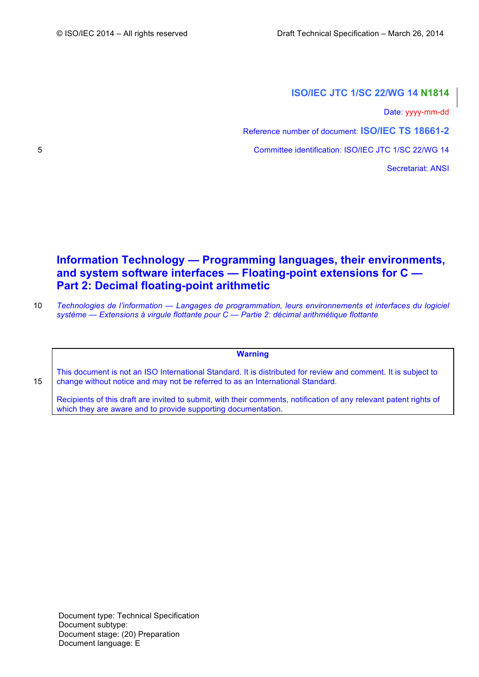## **ISO/IEC JTC 1/SC 22/WG 14 N1814**

Date: yyyy-mm-dd

Reference number of document: **ISO/IEC TS 18661-2**

5 Committee identification: ISO/IEC JTC 1/SC 22/WG 14

Secretariat: ANSI

# **Information Technology — Programming languages, their environments, and system software interfaces — Floating-point extensions for C — Part 2: Decimal floating-point arithmetic**

10 *Technologies de l'information — Langages de programmation, leurs environnements et interfaces du logiciel système — Extensions à virgule flottante pour C — Partie 2: décimal arithmétique flottante*

**Warning**

This document is not an ISO International Standard. It is distributed for review and comment. It is subject to 15 change without notice and may not be referred to as an International Standard.

Recipients of this draft are invited to submit, with their comments, notification of any relevant patent rights of which they are aware and to provide supporting documentation.

Document type: Technical Specification Document subtype: Document stage: (20) Preparation Document language: E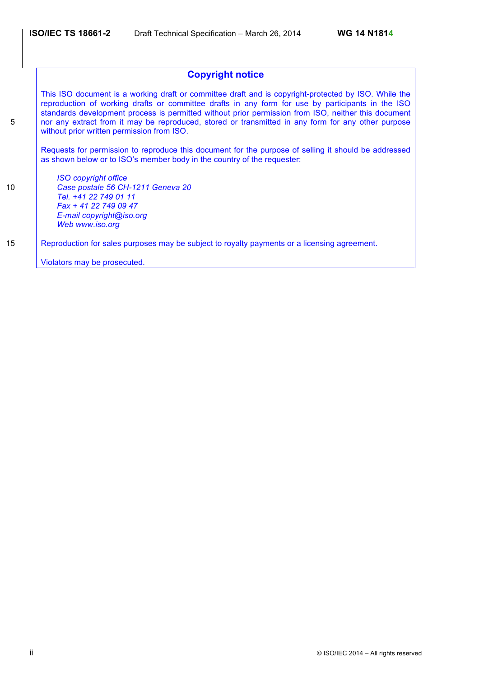## **Copyright notice**

This ISO document is a working draft or committee draft and is copyright-protected by ISO. While the reproduction of working drafts or committee drafts in any form for use by participants in the ISO standards development process is permitted without prior permission from ISO, neither this document 5 nor any extract from it may be reproduced, stored or transmitted in any form for any other purpose without prior written permission from ISO.

Requests for permission to reproduce this document for the purpose of selling it should be addressed as shown below or to ISO's member body in the country of the requester:

*ISO copyright office* 10 *Case postale 56 CH-1211 Geneva 20 Tel. +41 22 749 01 11 Fax + 41 22 749 09 47 E-mail copyright@iso.org Web www.iso.org*

15 Reproduction for sales purposes may be subject to royalty payments or a licensing agreement.

Violators may be prosecuted.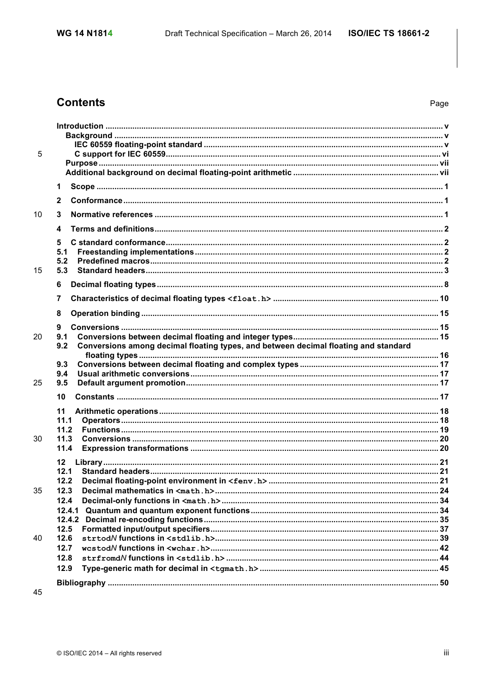# **Contents**

| 5  |                                                                                            |  |
|----|--------------------------------------------------------------------------------------------|--|
|    |                                                                                            |  |
|    |                                                                                            |  |
|    | 1                                                                                          |  |
|    | $\mathbf{2}$                                                                               |  |
| 10 | 3                                                                                          |  |
|    | 4                                                                                          |  |
|    | 5                                                                                          |  |
|    | 5.1                                                                                        |  |
| 15 | 5.2<br>5.3                                                                                 |  |
|    |                                                                                            |  |
|    | 6                                                                                          |  |
|    | 7                                                                                          |  |
|    | 8                                                                                          |  |
|    | 9                                                                                          |  |
| 20 | 9.1                                                                                        |  |
|    | Conversions among decimal floating types, and between decimal floating and standard<br>9.2 |  |
|    | 9.3                                                                                        |  |
|    | 9.4                                                                                        |  |
| 25 | 9.5                                                                                        |  |
|    | 10                                                                                         |  |
|    | 11                                                                                         |  |
|    | 11.1                                                                                       |  |
|    | 11.2                                                                                       |  |
| 30 | 11.3<br>11.4                                                                               |  |
|    |                                                                                            |  |
|    | $12 \,$<br>12.1                                                                            |  |
|    | 12.2                                                                                       |  |
| 35 | 12.3                                                                                       |  |
|    | 12.4                                                                                       |  |
|    |                                                                                            |  |
|    |                                                                                            |  |
|    | 12.5<br>12.6                                                                               |  |
| 40 | 12.7                                                                                       |  |
|    | 12.8                                                                                       |  |
|    | 12.9                                                                                       |  |
|    |                                                                                            |  |
| 45 |                                                                                            |  |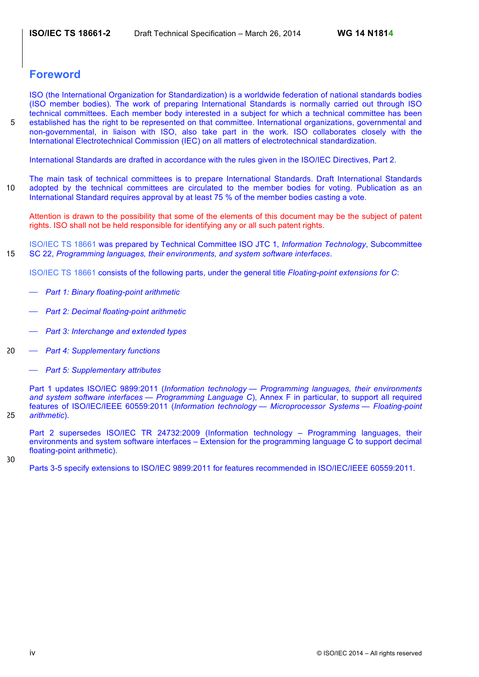# **Foreword**

ISO (the International Organization for Standardization) is a worldwide federation of national standards bodies (ISO member bodies). The work of preparing International Standards is normally carried out through ISO technical committees. Each member body interested in a subject for which a technical committee has been 5 established has the right to be represented on that committee. International organizations, governmental and non-governmental, in liaison with ISO, also take part in the work. ISO collaborates closely with the International Electrotechnical Commission (IEC) on all matters of electrotechnical standardization.

International Standards are drafted in accordance with the rules given in the ISO/IEC Directives, Part 2.

The main task of technical committees is to prepare International Standards. Draft International Standards 10 adopted by the technical committees are circulated to the member bodies for voting. Publication as an International Standard requires approval by at least 75 % of the member bodies casting a vote.

Attention is drawn to the possibility that some of the elements of this document may be the subject of patent rights. ISO shall not be held responsible for identifying any or all such patent rights.

ISO/IEC TS 18661 was prepared by Technical Committee ISO JTC 1, *Information Technology*, Subcommittee 15 SC 22, *Programming languages, their environments, and system software interfaces*.

ISO/IEC TS 18661 consists of the following parts, under the general title *Floating-point extensions for C*:

- ⎯ *Part 1: Binary floating-point arithmetic*
- ⎯ *Part 2: Decimal floating-point arithmetic*
- ⎯ *Part 3: Interchange and extended types*
- 20 ⎯ *Part 4: Supplementary functions*
	- ⎯ *Part 5: Supplementary attributes*

Part 1 updates ISO/IEC 9899:2011 (*Information technology — Programming languages, their environments and system software interfaces — Programming Language C*), Annex F in particular, to support all required features of ISO/IEC/IEEE 60559:2011 (*Information technology — Microprocessor Systems — Floating-point*  25 *arithmetic*).

Part 2 supersedes ISO/IEC TR 24732:2009 (Information technology – Programming languages, their environments and system software interfaces – Extension for the programming language C to support decimal floating-point arithmetic).

30

Parts 3-5 specify extensions to ISO/IEC 9899:2011 for features recommended in ISO/IEC/IEEE 60559:2011.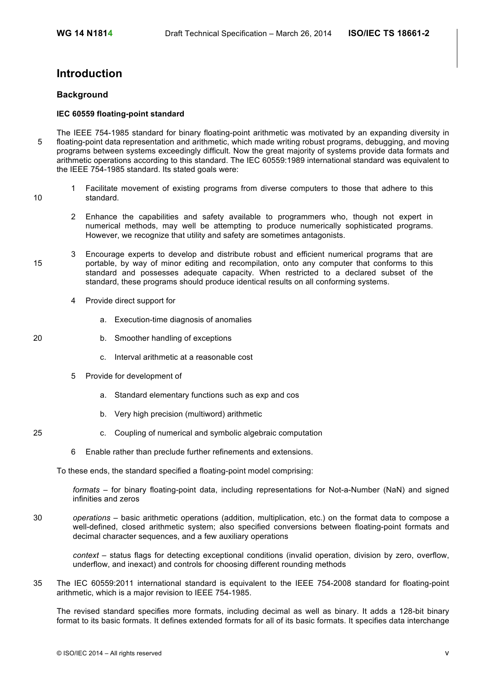# **Introduction**

## **Background**

## **IEC 60559 floating-point standard**

- The IEEE 754-1985 standard for binary floating-point arithmetic was motivated by an expanding diversity in 5 floating-point data representation and arithmetic, which made writing robust programs, debugging, and moving programs between systems exceedingly difficult. Now the great majority of systems provide data formats and arithmetic operations according to this standard. The IEC 60559:1989 international standard was equivalent to the IEEE 754-1985 standard. Its stated goals were:
- 1 Facilitate movement of existing programs from diverse computers to those that adhere to this 10 standard.
	- 2 Enhance the capabilities and safety available to programmers who, though not expert in numerical methods, may well be attempting to produce numerically sophisticated programs. However, we recognize that utility and safety are sometimes antagonists.
- 3 Encourage experts to develop and distribute robust and efficient numerical programs that are 15 portable, by way of minor editing and recompilation, onto any computer that conforms to this standard and possesses adequate capacity. When restricted to a declared subset of the standard, these programs should produce identical results on all conforming systems.
	- 4 Provide direct support for
		- a. Execution-time diagnosis of anomalies
- 20 b. Smoother handling of exceptions
	- c. Interval arithmetic at a reasonable cost
	- 5 Provide for development of
		- a. Standard elementary functions such as exp and cos
		- b. Very high precision (multiword) arithmetic
- 25 c. Coupling of numerical and symbolic algebraic computation
	- 6 Enable rather than preclude further refinements and extensions.

To these ends, the standard specified a floating-point model comprising:

*formats* – for binary floating-point data, including representations for Not-a-Number (NaN) and signed infinities and zeros

30 *operations* – basic arithmetic operations (addition, multiplication, etc.) on the format data to compose a well-defined, closed arithmetic system; also specified conversions between floating-point formats and decimal character sequences, and a few auxiliary operations

*context* – status flags for detecting exceptional conditions (invalid operation, division by zero, overflow, underflow, and inexact) and controls for choosing different rounding methods

35 The IEC 60559:2011 international standard is equivalent to the IEEE 754-2008 standard for floating-point arithmetic, which is a major revision to IEEE 754-1985.

The revised standard specifies more formats, including decimal as well as binary. It adds a 128-bit binary format to its basic formats. It defines extended formats for all of its basic formats. It specifies data interchange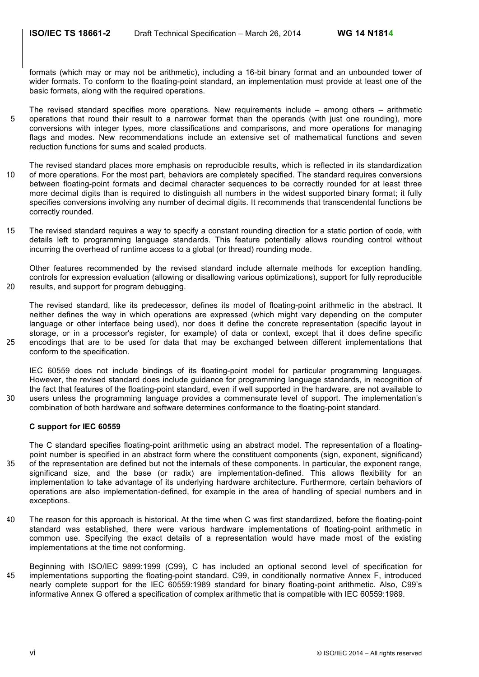formats (which may or may not be arithmetic), including a 16-bit binary format and an unbounded tower of wider formats. To conform to the floating-point standard, an implementation must provide at least one of the basic formats, along with the required operations.

- The revised standard specifies more operations. New requirements include among others arithmetic 5 operations that round their result to a narrower format than the operands (with just one rounding), more conversions with integer types, more classifications and comparisons, and more operations for managing flags and modes. New recommendations include an extensive set of mathematical functions and seven reduction functions for sums and scaled products.
- The revised standard places more emphasis on reproducible results, which is reflected in its standardization 10 of more operations. For the most part, behaviors are completely specified. The standard requires conversions between floating-point formats and decimal character sequences to be correctly rounded for at least three more decimal digits than is required to distinguish all numbers in the widest supported binary format; it fully specifies conversions involving any number of decimal digits. It recommends that transcendental functions be correctly rounded.
- 15 The revised standard requires a way to specify a constant rounding direction for a static portion of code, with details left to programming language standards. This feature potentially allows rounding control without incurring the overhead of runtime access to a global (or thread) rounding mode.

Other features recommended by the revised standard include alternate methods for exception handling, controls for expression evaluation (allowing or disallowing various optimizations), support for fully reproducible 20 results, and support for program debugging.

The revised standard, like its predecessor, defines its model of floating-point arithmetic in the abstract. It neither defines the way in which operations are expressed (which might vary depending on the computer language or other interface being used), nor does it define the concrete representation (specific layout in storage, or in a processor's register, for example) of data or context, except that it does define specific 25 encodings that are to be used for data that may be exchanged between different implementations that conform to the specification.

IEC 60559 does not include bindings of its floating-point model for particular programming languages. However, the revised standard does include guidance for programming language standards, in recognition of the fact that features of the floating-point standard, even if well supported in the hardware, are not available to 30 users unless the programming language provides a commensurate level of support. The implementation's combination of both hardware and software determines conformance to the floating-point standard.

## **C support for IEC 60559**

The C standard specifies floating-point arithmetic using an abstract model. The representation of a floatingpoint number is specified in an abstract form where the constituent components (sign, exponent, significand) 35 of the representation are defined but not the internals of these components. In particular, the exponent range, significand size, and the base (or radix) are implementation-defined. This allows flexibility for an implementation to take advantage of its underlying hardware architecture. Furthermore, certain behaviors of operations are also implementation-defined, for example in the area of handling of special numbers and in exceptions.

- 40 The reason for this approach is historical. At the time when C was first standardized, before the floating-point standard was established, there were various hardware implementations of floating-point arithmetic in common use. Specifying the exact details of a representation would have made most of the existing implementations at the time not conforming.
- Beginning with ISO/IEC 9899:1999 (C99), C has included an optional second level of specification for 45 implementations supporting the floating-point standard. C99, in conditionally normative Annex F, introduced nearly complete support for the IEC 60559:1989 standard for binary floating-point arithmetic. Also, C99's informative Annex G offered a specification of complex arithmetic that is compatible with IEC 60559:1989.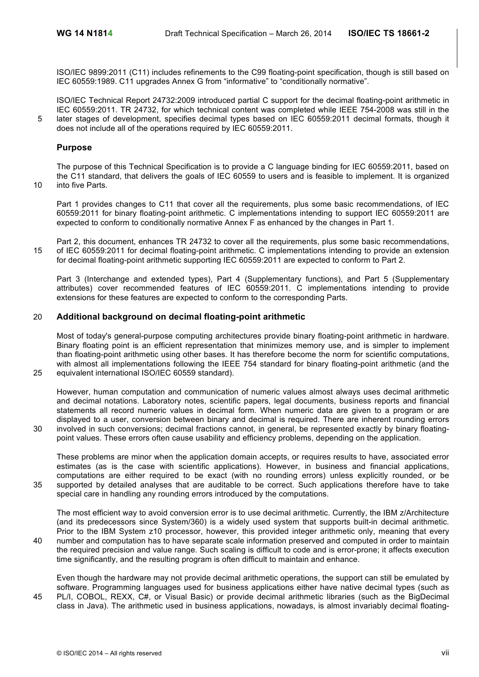ISO/IEC 9899:2011 (C11) includes refinements to the C99 floating-point specification, though is still based on IEC 60559:1989. C11 upgrades Annex G from "informative" to "conditionally normative".

ISO/IEC Technical Report 24732:2009 introduced partial C support for the decimal floating-point arithmetic in IEC 60559:2011. TR 24732, for which technical content was completed while IEEE 754-2008 was still in the 5 later stages of development, specifies decimal types based on IEC 60559:2011 decimal formats, though it does not include all of the operations required by IEC 60559:2011.

## **Purpose**

The purpose of this Technical Specification is to provide a C language binding for IEC 60559:2011, based on the C11 standard, that delivers the goals of IEC 60559 to users and is feasible to implement. It is organized 10 into five Parts.

Part 1 provides changes to C11 that cover all the requirements, plus some basic recommendations, of IEC 60559:2011 for binary floating-point arithmetic. C implementations intending to support IEC 60559:2011 are expected to conform to conditionally normative Annex F as enhanced by the changes in Part 1.

Part 2, this document, enhances TR 24732 to cover all the requirements, plus some basic recommendations, 15 of IEC 60559:2011 for decimal floating-point arithmetic. C implementations intending to provide an extension for decimal floating-point arithmetic supporting IEC 60559:2011 are expected to conform to Part 2.

Part 3 (Interchange and extended types), Part 4 (Supplementary functions), and Part 5 (Supplementary attributes) cover recommended features of IEC 60559:2011. C implementations intending to provide extensions for these features are expected to conform to the corresponding Parts.

## 20 **Additional background on decimal floating-point arithmetic**

Most of today's general-purpose computing architectures provide binary floating-point arithmetic in hardware. Binary floating point is an efficient representation that minimizes memory use, and is simpler to implement than floating-point arithmetic using other bases. It has therefore become the norm for scientific computations, with almost all implementations following the IEEE 754 standard for binary floating-point arithmetic (and the 25 equivalent international ISO/IEC 60559 standard).

However, human computation and communication of numeric values almost always uses decimal arithmetic and decimal notations. Laboratory notes, scientific papers, legal documents, business reports and financial statements all record numeric values in decimal form. When numeric data are given to a program or are displayed to a user, conversion between binary and decimal is required. There are inherent rounding errors 30 involved in such conversions; decimal fractions cannot, in general, be represented exactly by binary floating-

point values. These errors often cause usability and efficiency problems, depending on the application.

These problems are minor when the application domain accepts, or requires results to have, associated error estimates (as is the case with scientific applications). However, in business and financial applications, computations are either required to be exact (with no rounding errors) unless explicitly rounded, or be 35 supported by detailed analyses that are auditable to be correct. Such applications therefore have to take special care in handling any rounding errors introduced by the computations.

The most efficient way to avoid conversion error is to use decimal arithmetic. Currently, the IBM z/Architecture (and its predecessors since System/360) is a widely used system that supports built-in decimal arithmetic. Prior to the IBM System z10 processor, however, this provided integer arithmetic only, meaning that every 40 number and computation has to have separate scale information preserved and computed in order to maintain the required precision and value range. Such scaling is difficult to code and is error-prone; it affects execution time significantly, and the resulting program is often difficult to maintain and enhance.

Even though the hardware may not provide decimal arithmetic operations, the support can still be emulated by software. Programming languages used for business applications either have native decimal types (such as 45 PL/I, COBOL, REXX, C#, or Visual Basic) or provide decimal arithmetic libraries (such as the BigDecimal class in Java). The arithmetic used in business applications, nowadays, is almost invariably decimal floating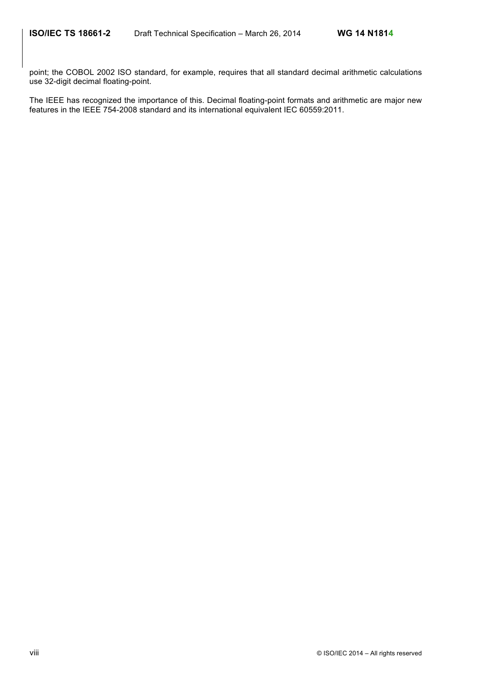point; the COBOL 2002 ISO standard, for example, requires that all standard decimal arithmetic calculations use 32-digit decimal floating-point.

The IEEE has recognized the importance of this. Decimal floating-point formats and arithmetic are major new features in the IEEE 754-2008 standard and its international equivalent IEC 60559:2011.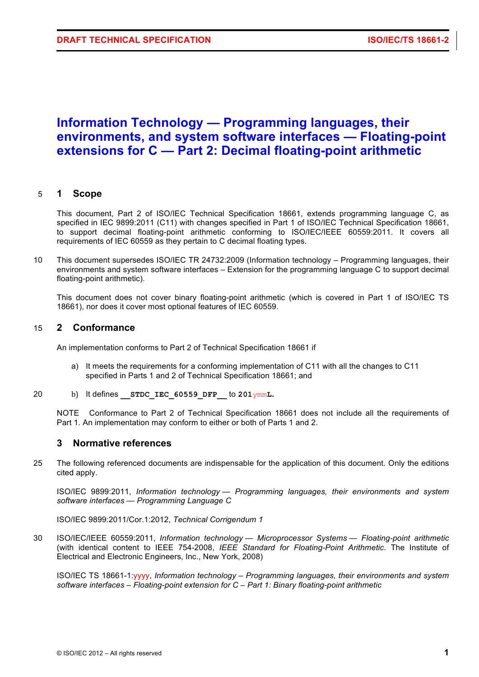# **Information Technology — Programming languages, their environments, and system software interfaces — Floating-point extensions for C — Part 2: Decimal floating-point arithmetic**

## 5 **1 Scope**

This document, Part 2 of ISO/IEC Technical Specification 18661, extends programming language C, as specified in IEC 9899:2011 (C11) with changes specified in Part 1 of ISO/IEC Technical Specification 18661, to support decimal floating-point arithmetic conforming to ISO/IEC/IEEE 60559:2011. It covers all requirements of IEC 60559 as they pertain to C decimal floating types.

10 This document supersedes ISO/IEC TR 24732:2009 (Information technology – Programming languages, their environments and system software interfaces – Extension for the programming language C to support decimal floating-point arithmetic).

This document does not cover binary floating-point arithmetic (which is covered in Part 1 of ISO/IEC TS 18661), nor does it cover most optional features of IEC 60559.

## 15 **2 Conformance**

An implementation conforms to Part 2 of Technical Specification 18661 if

- a) It meets the requirements for a conforming implementation of C11 with all the changes to C11 specified in Parts 1 and 2 of Technical Specification 18661; and
- 20 b) It defines **\_\_STDC\_IEC\_60559\_DFP\_\_** to **201**ymm**L.**

NOTE Conformance to Part 2 of Technical Specification 18661 does not include all the requirements of Part 1. An implementation may conform to either or both of Parts 1 and 2.

## **3 Normative references**

25 The following referenced documents are indispensable for the application of this document. Only the editions cited apply.

ISO/IEC 9899:2011, *Information technology — Programming languages, their environments and system software interfaces — Programming Language C*

ISO/IEC 9899:2011/Cor.1:2012, *Technical Corrigendum 1*

30 ISO/IEC/IEEE 60559:2011, *Information technology — Microprocessor Systems — Floating-point arithmetic* (with identical content to IEEE 754-2008, *IEEE Standard for Floating-Point Arithmetic*. The Institute of Electrical and Electronic Engineers, Inc., New York, 2008)

ISO/IEC TS 18661-1:yyyy, *Information technology – Programming languages, their environments and system software interfaces – Floating-point extension for C – Part 1: Binary floating-point arithmetic*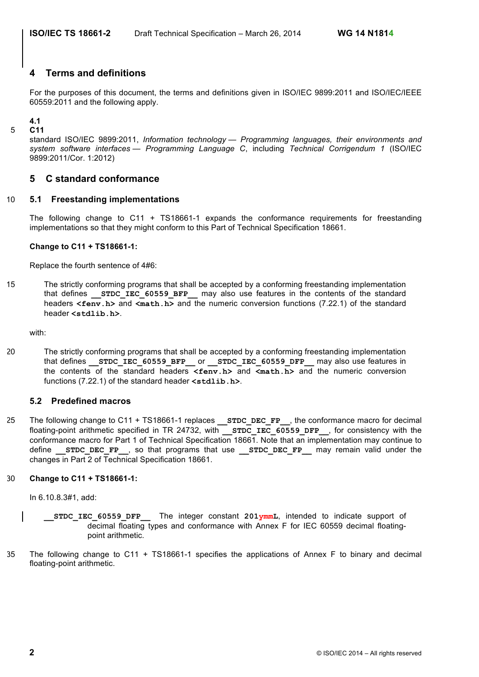## **4 Terms and definitions**

For the purposes of this document, the terms and definitions given in ISO/IEC 9899:2011 and ISO/IEC/IEEE 60559:2011 and the following apply.

## **4.1**

5 **C11**

standard ISO/IEC 9899:2011, *Information technology — Programming languages, their environments and system software interfaces — Programming Language C*, including *Technical Corrigendum 1* (ISO/IEC 9899:2011/Cor. 1:2012)

## **5 C standard conformance**

## 10 **5.1 Freestanding implementations**

The following change to C11 + TS18661-1 expands the conformance requirements for freestanding implementations so that they might conform to this Part of Technical Specification 18661.

## **Change to C11 + TS18661-1:**

Replace the fourth sentence of 4#6:

15 The strictly conforming programs that shall be accepted by a conforming freestanding implementation that defines **\_\_STDC\_IEC\_60559\_BFP\_\_** may also use features in the contents of the standard headers <fenv.h> and <math.h> and the numeric conversion functions (7.22.1) of the standard header **<stdlib.h>**.

with:

20 The strictly conforming programs that shall be accepted by a conforming freestanding implementation that defines **\_\_STDC\_IEC\_60559\_BFP\_\_** or **\_\_STDC\_IEC\_60559\_DFP\_\_** may also use features in the contents of the standard headers **<fenv.h>** and **<math.h>** and the numeric conversion functions (7.22.1) of the standard header **<stdlib.h>**.

## **5.2 Predefined macros**

25 The following change to C11 + TS18661-1 replaces **\_\_STDC\_DEC\_FP\_\_**, the conformance macro for decimal floating-point arithmetic specified in TR 24732, with **STDC IEC 60559 DFP**, for consistency with the conformance macro for Part 1 of Technical Specification 18661. Note that an implementation may continue to define **STDC DEC FP**, so that programs that use **STDC DEC FP** may remain valid under the changes in Part 2 of Technical Specification 18661.

## 30 **Change to C11 + TS18661-1:**

In 6.10.8.3#1, add:

- **\_\_STDC\_IEC\_60559\_DFP\_\_** The integer constant **201ymmL**, intended to indicate support of decimal floating types and conformance with Annex F for IEC 60559 decimal floatingpoint arithmetic.
- 35 The following change to C11 + TS18661-1 specifies the applications of Annex F to binary and decimal floating-point arithmetic.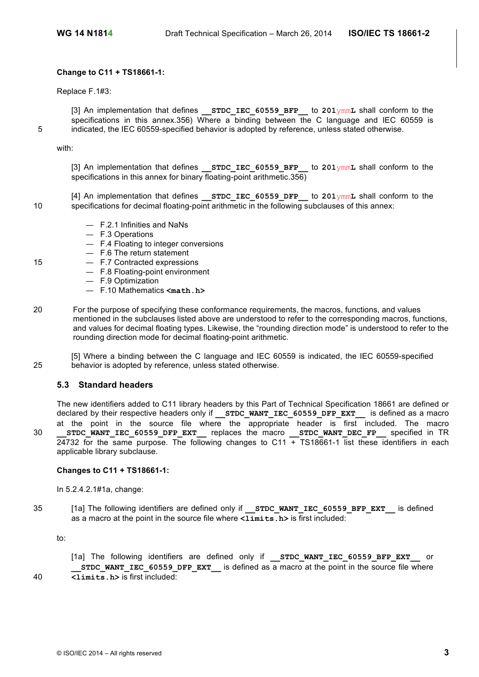## **Change to C11 + TS18661-1:**

Replace F.1#3:

[3] An implementation that defines **STDC IEC 60559 BFP** to 201<sub>ymm</sub>L shall conform to the specifications in this annex.356) Where a binding between the C language and IEC 60559 is 5 indicated, the IEC 60559-specified behavior is adopted by reference, unless stated otherwise.

with:

[3] An implementation that defines **\_\_STDC\_IEC\_60559\_BFP\_\_** to **201**ymm**L** shall conform to the specifications in this annex for binary floating-point arithmetic.356)

[4] An implementation that defines **\_\_STDC\_IEC\_60559\_DFP\_\_** to **201**ymm**L** shall conform to the 10 specifications for decimal floating-point arithmetic in the following subclauses of this annex:

- F.2.1 Infinities and NaNs
- F.3 Operations
- F.4 Floating to integer conversions
- F.6 The return statement
- 15 F.7 Contracted expressions
	- F.8 Floating-point environment
	- F.9 Optimization
	- F.10 Mathematics **<math.h>**
- 20 For the purpose of specifying these conformance requirements, the macros, functions, and values mentioned in the subclauses listed above are understood to refer to the corresponding macros, functions, and values for decimal floating types. Likewise, the "rounding direction mode" is understood to refer to the rounding direction mode for decimal floating-point arithmetic.

[5] Where a binding between the C language and IEC 60559 is indicated, the IEC 60559-specified 25 behavior is adopted by reference, unless stated otherwise.

## **5.3 Standard headers**

The new identifiers added to C11 library headers by this Part of Technical Specification 18661 are defined or declared by their respective headers only if **STDC WANT IEC 60559 DFP EXT** is defined as a macro at the point in the source file where the appropriate header is first included. The macro 30 **\_\_STDC\_WANT\_IEC\_60559\_DFP\_EXT\_\_** replaces the macro **\_\_STDC\_WANT\_DEC\_FP\_\_** specified in TR 24732 for the same purpose. The following changes to C11 + TS18661-1 list these identifiers in each applicable library subclause.

## **Changes to C11 + TS18661-1:**

In 5.2.4.2.1#1a, change:

35 [1a] The following identifiers are defined only if **\_\_STDC\_WANT\_IEC\_60559\_BFP\_EXT\_\_** is defined as a macro at the point in the source file where **<limits.h>** is first included:

to:

[1a] The following identifiers are defined only if **STDC WANT IEC 60559 BFP EXT \_\_STDC\_WANT\_IEC\_60559\_DFP\_EXT\_\_** is defined as a macro at the point in the source file where 40 **<limits.h>** is first included: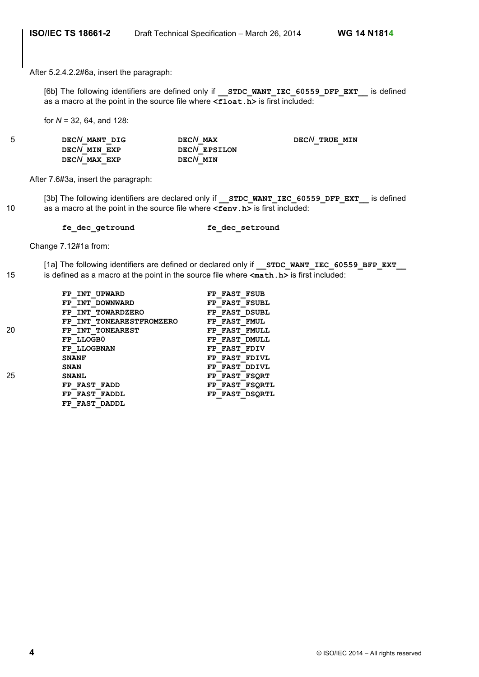After 5.2.4.2.2#6a, insert the paragraph:

[6b] The following identifiers are defined only if **STDC WANT IEC 60559 DFP EXT** is defined as a macro at the point in the source file where **<float.h>** is first included:

for *N* = 32, 64, and 128:

| 5 | DECN MANT DIG | DECN MAX     | DECN TRUE MIN |
|---|---------------|--------------|---------------|
|   | DECN MIN EXP  | DECN EPSILON |               |
|   | DECN MAX EXP  | DECN MIN     |               |

After 7.6#3a, insert the paragraph:

[3b] The following identifiers are declared only if **\_\_STDC\_WANT\_IEC\_60559\_DFP\_EXT\_\_** is defined 10 as a macro at the point in the source file where **<fenv.h>** is first included:

| fe dec getround | fe dec setround |
|-----------------|-----------------|
|                 |                 |

Change 7.12#1a from:

[1a] The following identifiers are defined or declared only if **STDC WANT IEC 60559 BFP EXT** 15 is defined as a macro at the point in the source file where **<math.h>** is first included:

|    | FP INT UPWARD            | FP FAST FSUB          |
|----|--------------------------|-----------------------|
|    | FP INT DOWNWARD          | FP FAST FSUBL         |
|    | FP INT TOWARDZERO        | FP FAST DSUBL         |
|    | FP INT TONEARESTFROMZERO | FP FAST FMUL          |
| 20 | FP INT TONEAREST         | FP FAST FMULL         |
|    | FP LLOGB0                | FP FAST DMULL         |
|    | FP LLOGBNAN              | FP FAST FDIV          |
|    | <b>SNANF</b>             | FP FAST FDIVL         |
|    | <b>SNAN</b>              | FP FAST DDIVL         |
| 25 | <b>SNANL</b>             | FP FAST FSORT         |
|    | FP FAST FADD             | <b>FP FAST FSORTL</b> |
|    | FP FAST FADDL            | FP FAST DSORTL        |
|    | <b>FAST DADDL</b><br>FP. |                       |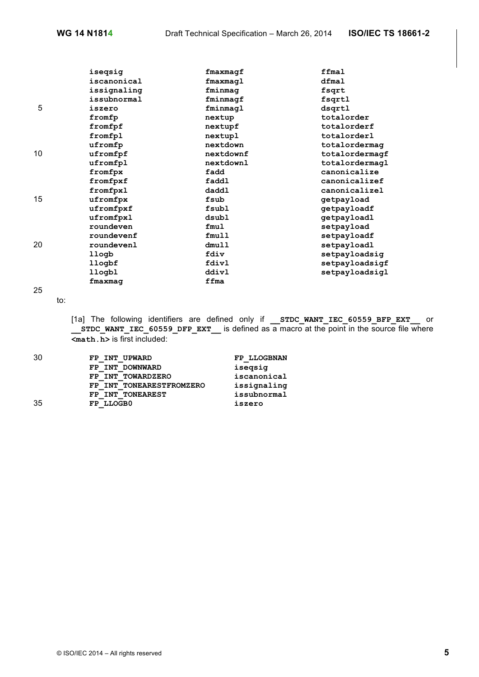|    | isegsig     | fmaxmaqf  | ffmal          |
|----|-------------|-----------|----------------|
|    | iscanonical | fmaxmaql  | dfmal          |
|    | issignaling | fminmag   | fsqrt          |
|    | issubnormal | fminmagf  | fsqrtl         |
| 5  | iszero      | fminmagl  | dsgrtl         |
|    | fromfp      | nextup    | totalorder     |
|    | fromfpf     | nextupf   | totalorderf    |
|    | fromfpl     | nextupl   | totalorderl    |
|    | ufromfp     | nextdown  | totalordermag  |
| 10 | ufromfpf    | nextdownf | totalordermagf |
|    | ufromfpl    | nextdownl | totalordermagl |
|    | fromfpx     | fadd      | canonicalize   |
|    | fromfpxf    | faddl     | canonicalizef  |
|    | fromfpxl    | daddl     | canonicalizel  |
| 15 | ufromfpx    | fsub      | qetpayload     |
|    | ufromfpxf   | fsubl     | getpayloadf    |
|    | ufromfpxl   | dsubl     | getpayloadl    |
|    | roundeven   | fmu1      | setpayload     |
|    | roundevenf  | fmu11     | setpayloadf    |
| 20 | roundevenl  | dmull     | setpayloadl    |
|    | llogb       | fdiv      | setpayloadsig  |
|    | llogbf      | fdivl     | setpayloadsigf |
|    | llogbl      | ddivl     | setpayloadsigl |
|    | fmaxmaq     | ffma      |                |
|    |             |           |                |

25

to:

[1a] The following identifiers are defined only if **\_\_STDC\_WANT\_IEC\_60559\_BFP\_EXT\_\_** or **\_\_STDC\_WANT\_IEC\_60559\_DFP\_EXT\_\_** is defined as a macro at the point in the source file where **<math.h>** is first included:

| 30 | FP INT UPWARD            | FP LLOGBNAN |
|----|--------------------------|-------------|
|    | FP INT DOWNWARD          | isegsig     |
|    | FP INT TOWARDZERO        | iscanonical |
|    | FP INT TONEARESTFROMZERO | issignaling |
|    | FP INT TONEAREST         | issubnormal |
| 35 | FP LLOGB0                | iszero      |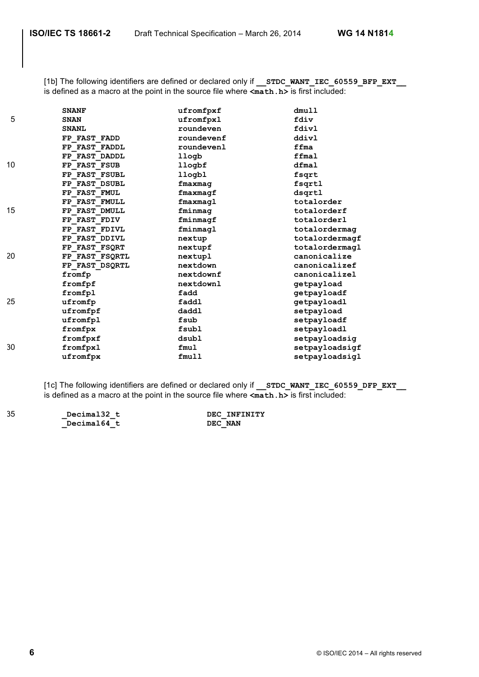[1b] The following identifiers are defined or declared only if **\_\_STDC\_WANT\_IEC\_60559\_BFP\_EXT\_\_** is defined as a macro at the point in the source file where  $\overline{\text{rank}}$ **h**. **h**> is first included:

|    | <b>SNANF</b>   | ufromfpxf  | dmull          |
|----|----------------|------------|----------------|
| 5  | <b>SNAN</b>    | ufromfpxl  | fdiv           |
|    | <b>SNANL</b>   | roundeven  | fdivl          |
|    | FP FAST FADD   | roundevenf | ddivl          |
|    | FP FAST FADDL  | roundevenl | ffma           |
|    | FP FAST DADDL  | llogb      | ffmal          |
| 10 | FP FAST FSUB   | llogbf     | dfmal          |
|    | FP FAST FSUBL  | llogbl     | fsqrt          |
|    | FP FAST DSUBL  | fmaxmaq    | fsqrtl         |
|    | FP FAST FMUL   | fmaxmagf   | dsgrtl         |
|    | FP FAST FMULL  | fmaxmaql   | totalorder     |
| 15 | FP FAST DMULL  | fminmag    | totalorderf    |
|    | FP FAST FDIV   | fminmagf   | totalorderl    |
|    | FP FAST FDIVL  | fminmagl   | totalordermag  |
|    | FP FAST DDIVL  | nextup     | totalordermagf |
|    | FP FAST FSQRT  | nextupf    | totalordermagl |
| 20 | FP FAST FSQRTL | nextupl    | canonicalize   |
|    | FP FAST DSQRTL | nextdown   | canonicalizef  |
|    | fromfp         | nextdownf  | canonicalizel  |
|    | fromfpf        | nextdownl  | getpayload     |
|    | fromfpl        | fadd       | getpayloadf    |
| 25 | ufromfp        | faddl      | qetpayloadl    |
|    | ufromfpf       | daddl      | setpayload     |
|    | ufromfpl       | fsub       | setpayloadf    |
|    | fromfpx        | fsubl      | setpayloadl    |
|    | fromfpxf       | dsubl      | setpayloadsig  |
| 30 | fromfpxl       | fmul       | setpayloadsigf |
|    | ufromfpx       | fmull      | setpayloadsigl |
|    |                |            |                |

[1c] The following identifiers are defined or declared only if **STDC WANT IEC 60559 DFP EXT** is defined as a macro at the point in the source file where **<math.h>** is first included:

| 35 | Decimal32 t | DEC INFINITY |
|----|-------------|--------------|
|    | Decimal64 t | DEC NAN      |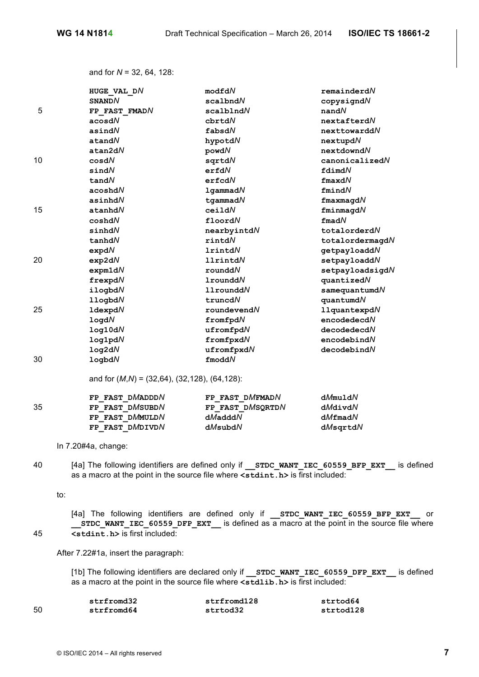and for *N* = 32, 64, 128:

|    | HUGE VAL DN                                           | modfdN           | remainderd $N$      |
|----|-------------------------------------------------------|------------------|---------------------|
|    | <b>SNAND</b> N                                        | scalbndN         | copysigndN          |
| 5  | FP FAST FMADN                                         | $scal$ blnd $N$  | $n$ and $N$         |
|    | acosdN                                                | cbrtdN           | nextafterdN         |
|    | asindN                                                | fabsdN           | nexttowarddN        |
|    | atandN                                                | hypotdN          | nextupdN            |
|    | atan2dN                                               | powdN            | nextdowndN          |
| 10 | cosdN                                                 | sqrtdN           | canonicalizedN      |
|    | sindN                                                 | erfd $N$         | fdimdN              |
|    | tandN                                                 | erfcdN           | $f$ maxd $N$        |
|    | acoshdN                                               | $1$ gammad $N$   | fmindN              |
|    | asinhd $N$                                            | $t$ gammad $N$   | fmaxmagdN           |
| 15 | atanhdN                                               | ceildN           | fminmagdN           |
|    | coshdN                                                | floordN          | fmadN               |
|    | sinhdN                                                | nearbyintdN      | totalorderdN        |
|    | tanhdN                                                | rintdN           | totalordermagdN     |
|    | expdN                                                 | lrintdN          | getpayloaddN        |
| 20 | exp2dN                                                | llrintdN         | setpayloaddN        |
|    | expm1dN                                               | roundd $N$       | setpayloadsigdN     |
|    | frexpdN                                               | lroundd $N$      | quantizedN          |
|    | ilogbdN                                               | $11$ roundd $N$  | $s$ amequantumd $N$ |
|    | 11ogbdN                                               | trunedM          | $quant$ umd $N$     |
| 25 | 1dexpdN                                               | roundevendN      | <b>llquantexpdN</b> |
|    | <b>logdN</b>                                          | fromfpdN         | encodedecdN         |
|    | log10dN                                               | ufromfpdN        | decodedecdN         |
|    | log1pdN                                               | fromfpxdN        | encodebindN         |
|    | log2dN                                                | ufromfpxdN       | decodebindN         |
| 30 | logbdN                                                | fmoddN           |                     |
|    | and for $(M,N) = (32,64)$ , $(32,128)$ , $(64,128)$ : |                  |                     |
|    | FP FAST DMADDDN                                       | FP FAST DMFMADN  | dMmu1dN             |
| 35 | FP FAST DMSUBDN                                       | FP FAST DMSQRTDN | dMdivdN             |
|    | FP FAST DMMULDN                                       | $dM$ add $dN$    | $dM$ fmad $N$       |
|    | FP FAST DMDIVDN                                       | dMsubdN          | dMsqrtdN            |
|    | In 7.20#4a, change:                                   |                  |                     |
|    |                                                       |                  |                     |

40 [4a] The following identifiers are defined only if **\_\_STDC\_WANT\_IEC\_60559\_BFP\_EXT\_\_** is defined as a macro at the point in the source file where **<stdint.h>** is first included:

to:

[4a] The following identifiers are defined only if **\_\_STDC\_WANT\_IEC\_60559\_BFP\_EXT\_\_** or **\_\_STDC\_WANT\_IEC\_60559\_DFP\_EXT\_\_** is defined as a macro at the point in the source file where 45 **<stdint.h>** is first included:

After 7.22#1a, insert the paragraph:

[1b] The following identifiers are declared only if **\_\_STDC\_WANT\_IEC\_60559\_DFP\_EXT\_\_** is defined as a macro at the point in the source file where **<stdlib.h>** is first included:

|    | strfromd32 | strfromd128 | strtod64  |
|----|------------|-------------|-----------|
| 50 | strfromd64 | strtod32    | strtod128 |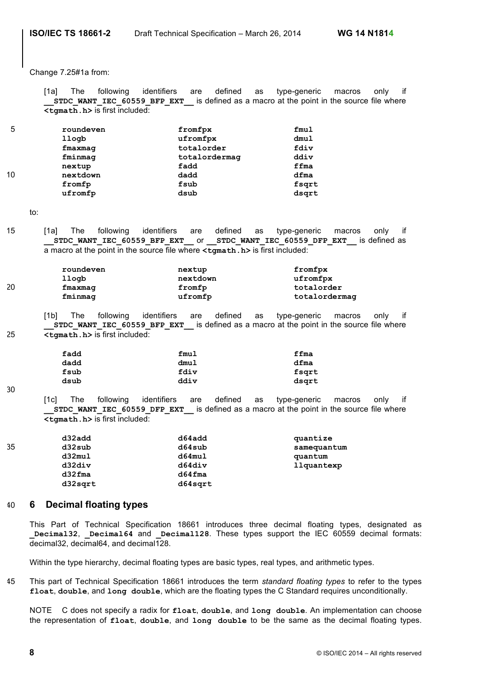Change 7.25#1a from:

[1a] The following identifiers are defined as type-generic macros only if **STDC\_WANT\_IEC\_60559\_BFP\_EXT\_\_\_** is defined as a macro at the point in the source file where **<tgmath.h>** is first included:

| 5  | roundeven | fromfpx       | fmul  |
|----|-----------|---------------|-------|
|    | llogb     | ufromfpx      | dmul  |
|    | fmaxmag   | totalorder    | fdiv  |
|    | fminmag   | totalordermag | ddiv  |
|    | nextup    | fadd          | ffma  |
| 10 | nextdown  | dadd          | dfma  |
|    | fromfp    | fsub          | fsqrt |
|    | ufromfp   | dsub          | dsgrt |

to:

15 [1a] The following identifiers are defined as type-generic macros only if **\_\_STDC\_WANT\_IEC\_60559\_BFP\_EXT\_\_** or **\_\_STDC\_WANT\_IEC\_60559\_DFP\_EXT\_\_** is defined as a macro at the point in the source file where **<tgmath.h>** is first included:

|    | roundeven | nextup   | fromfpx       |
|----|-----------|----------|---------------|
|    | llogb     | nextdown | ufromfpx      |
| 20 | fmaxmaq   | fromfp   | totalorder    |
|    | fminmag   | ufromfp  | totalordermag |

[1b] The following identifiers are defined as type-generic macros only if **STDC\_WANT\_IEC\_60559\_BFP\_EXT\_\_\_\_ is defined as a macro at the point in the source file where** 25 **<tgmath.h>** is first included:

| fadd | fmul | ffma  |
|------|------|-------|
| dadd | dmul | dfma  |
| fsub | fdiv | fsqrt |
| dsub | ddiv | dsgrt |

30

[1c] The following identifiers are defined as type-generic macros only if **STDC\_WANT\_IEC\_60559\_DFP\_EXT\_\_\_ is defined as a macro at the point in the source file where <tgmath.h>** is first included:

| d32add  | d64add  | quantize    |
|---------|---------|-------------|
| d32sub  | d64sub  | samequantum |
| d32mul  | d64mul  | quantum     |
| d32div  | d64div  | llquantexp  |
| d32fma  | d64fma  |             |
| d32sqrt | d64sqrt |             |
|         |         |             |

## 40 **6 Decimal floating types**

This Part of Technical Specification 18661 introduces three decimal floating types, designated as **\_Decimal32**, **\_Decimal64** and **\_Decimal128**. These types support the IEC 60559 decimal formats: decimal32, decimal64, and decimal128.

Within the type hierarchy, decimal floating types are basic types, real types, and arithmetic types.

45 This part of Technical Specification 18661 introduces the term *standard floating types* to refer to the types **float**, **double**, and **long double**, which are the floating types the C Standard requires unconditionally.

NOTE C does not specify a radix for **float**, **double**, and **long double**. An implementation can choose the representation of **float**, **double**, and **long double** to be the same as the decimal floating types.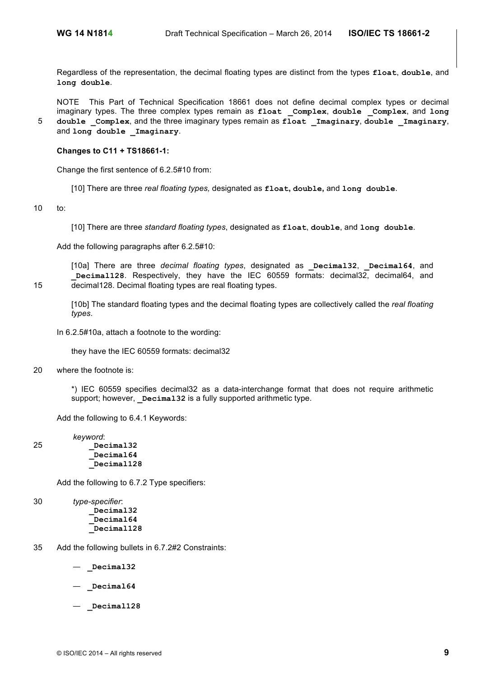Regardless of the representation, the decimal floating types are distinct from the types **float**, **double**, and **long double**.

NOTE This Part of Technical Specification 18661 does not define decimal complex types or decimal imaginary types. The three complex types remain as **float Complex**, **double Complex**, and **long** 5 **double \_Complex**, and the three imaginary types remain as **float \_Imaginary**, **double \_Imaginary**, and **long double \_Imaginary**.

## **Changes to C11 + TS18661-1:**

Change the first sentence of 6.2.5#10 from:

[10] There are three *real floating types,* designated as **float, double,** and **long double**.

10 to:

[10] There are three *standard floating types*, designated as **float**, **double**, and **long double**.

Add the following paragraphs after 6.2.5#10:

[10a] There are three *decimal floating types*, designated as **\_Decimal32**, **\_Decimal64**, and **\_Decimal128**. Respectively, they have the IEC 60559 formats: decimal32, decimal64, and 15 decimal128. Decimal floating types are real floating types.

[10b] The standard floating types and the decimal floating types are collectively called the *real floating types*.

In 6.2.5#10a, attach a footnote to the wording:

they have the IEC 60559 formats: decimal32

20 where the footnote is:

\*) IEC 60559 specifies decimal32 as a data-interchange format that does not require arithmetic support; however, **Decimal32** is a fully supported arithmetic type.

Add the following to 6.4.1 Keywords:



Add the following to 6.7.2 Type specifiers:

30 *type-specifier*: **\_Decimal32 \_Decimal64**

**\_Decimal128**

- 35 Add the following bullets in 6.7.2#2 Constraints:
	- **\_Decimal32**
	- **\_Decimal64**
	- **\_Decimal128**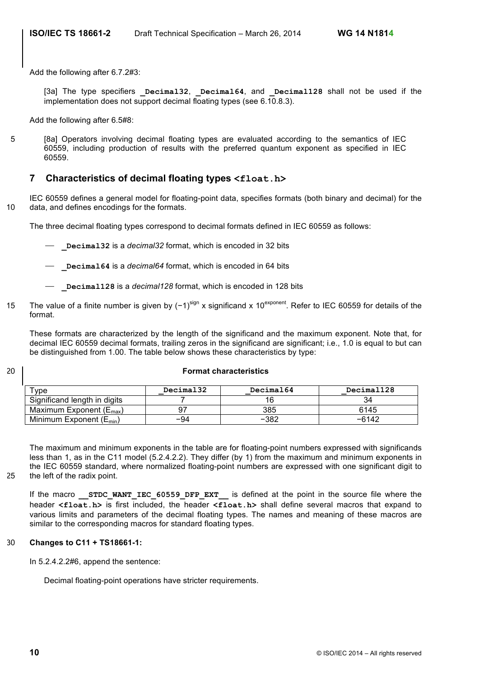Add the following after 6.7.2#3:

[3a] The type specifiers **\_Decimal32**, **\_Decimal64**, and **\_Decimal128** shall not be used if the implementation does not support decimal floating types (see 6.10.8.3).

Add the following after 6.5#8:

5 [8a] Operators involving decimal floating types are evaluated according to the semantics of IEC 60559, including production of results with the preferred quantum exponent as specified in IEC 60559.

## **7 Characteristics of decimal floating types <float.h>**

IEC 60559 defines a general model for floating-point data, specifies formats (both binary and decimal) for the 10 data, and defines encodings for the formats.

The three decimal floating types correspond to decimal formats defined in IEC 60559 as follows:

⎯ **\_Decimal32** is a *decimal32* format, which is encoded in 32 bits

- ⎯ **\_Decimal64** is a *decimal64* format, which is encoded in 64 bits
- ⎯ **\_Decimal128** is a *decimal128* format, which is encoded in 128 bits
- 15 The value of a finite number is given by (−1)<sup>sign</sup> x significand x 10<sup>exponent</sup>. Refer to IEC 60559 for details of the format.

These formats are characterized by the length of the significand and the maximum exponent. Note that, for decimal IEC 60559 decimal formats, trailing zeros in the significand are significant; i.e., 1.0 is equal to but can be distinguished from 1.00. The table below shows these characteristics by type:

## 20 **Format characteristics**

| Type                                | Decimal32 | Decimal64 | Decimal128 |
|-------------------------------------|-----------|-----------|------------|
| Significand length in digits        |           |           |            |
| Maximum Exponent $(E_{\text{max}})$ |           | 385       | 6145       |
| Minimum Exponent $(E_{min})$        | -94       | $-382$    | $-6142$    |

The maximum and minimum exponents in the table are for floating-point numbers expressed with significands less than 1, as in the C11 model (5.2.4.2.2). They differ (by 1) from the maximum and minimum exponents in the IEC 60559 standard, where normalized floating-point numbers are expressed with one significant digit to 25 the left of the radix point.

If the macro **STDC WANT IEC 60559 DFP EXT** is defined at the point in the source file where the header **<float.h>** is first included, the header **<float.h>** shall define several macros that expand to various limits and parameters of the decimal floating types. The names and meaning of these macros are similar to the corresponding macros for standard floating types.

## 30 **Changes to C11 + TS18661-1:**

In 5.2.4.2.2#6, append the sentence:

Decimal floating-point operations have stricter requirements.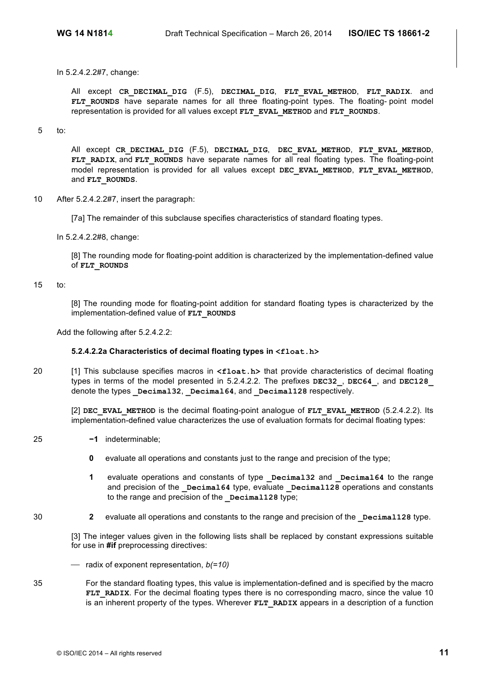In 5.2.4.2.2#7, change:

All except **CR\_DECIMAL\_DIG** (F.5), **DECIMAL\_DIG**, **FLT\_EVAL\_METHOD**, **FLT\_RADIX**. and FLT ROUNDS have separate names for all three floating-point types. The floating- point model representation is provided for all values except **FLT\_EVAL\_METHOD** and **FLT\_ROUNDS**.

5 to:

All except **CR\_DECIMAL\_DIG** (F.5), **DECIMAL\_DIG**, **DEC\_EVAL\_METHOD**, **FLT\_EVAL\_METHOD**, **FLT\_RADIX**, and **FLT\_ROUNDS** have separate names for all real floating types. The floating-point model representation is provided for all values except **DEC\_EVAL\_METHOD**, **FLT\_EVAL\_METHOD**, and **FLT\_ROUNDS**.

10 After 5.2.4.2.2#7, insert the paragraph:

[7a] The remainder of this subclause specifies characteristics of standard floating types.

In 5.2.4.2.2#8, change:

[8] The rounding mode for floating-point addition is characterized by the implementation-defined value of **FLT\_ROUNDS**

### 15 to:

[8] The rounding mode for floating-point addition for standard floating types is characterized by the implementation-defined value of **FLT\_ROUNDS**

Add the following after 5.2.4.2.2:

#### **5.2.4.2.2a Characteristics of decimal floating types in <float.h>**

20 [1] This subclause specifies macros in **<float.h>** that provide characteristics of decimal floating types in terms of the model presented in 5.2.4.2.2. The prefixes **DEC32\_**, **DEC64\_**, and **DEC128\_** denote the types **Decimal32**, **Decimal64**, and **Decimal128** respectively.

[2] **DEC\_EVAL\_METHOD** is the decimal floating-point analogue of **FLT\_EVAL\_METHOD** (5.2.4.2.2). Its implementation-defined value characterizes the use of evaluation formats for decimal floating types:

- 25 **−1** indeterminable;
	- **0** evaluate all operations and constants just to the range and precision of the type;
	- **1** evaluate operations and constants of type **Decimal32** and **Decimal64** to the range and precision of the **Decimal64** type, evaluate **Decimal128** operations and constants to the range and precision of the **Decimal128** type;
- 30 **2** evaluate all operations and constants to the range and precision of the **Decimal128** type.

[3] The integer values given in the following lists shall be replaced by constant expressions suitable for use in **#if** preprocessing directives:

- ⎯ radix of exponent representation, *b(=10)*
- 35 For the standard floating types, this value is implementation-defined and is specified by the macro **FLT\_RADIX**. For the decimal floating types there is no corresponding macro, since the value 10 is an inherent property of the types. Wherever **FLT** RADIX appears in a description of a function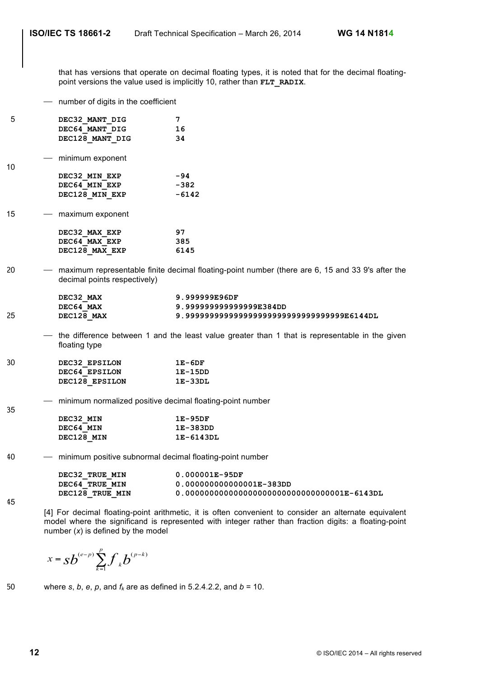that has versions that operate on decimal floating types, it is noted that for the decimal floatingpoint versions the value used is implicitly 10, rather than **FLT\_RADIX**.

- number of digits in the coefficient

| 5  | DEC32 MANT DIG<br>DEC64 MANT DIG<br>DEC128 MANT DIG       | 7<br>16<br>34                                                                                      |
|----|-----------------------------------------------------------|----------------------------------------------------------------------------------------------------|
|    | $-$ minimum exponent                                      |                                                                                                    |
| 10 | DEC32 MIN EXP                                             | -94                                                                                                |
|    | DEC64 MIN EXP                                             | $-382$                                                                                             |
|    | DEC128 MIN EXP                                            | $-6142$                                                                                            |
| 15 | $-$ maximum exponent                                      |                                                                                                    |
|    | DEC32 MAX EXP                                             | 97                                                                                                 |
|    | DEC64 MAX EXP                                             | 385                                                                                                |
|    | DEC128 MAX_EXP                                            | 6145                                                                                               |
| 20 | decimal points respectively)                              | - maximum representable finite decimal floating-point number (there are 6, 15 and 33 9's after the |
|    | DEC32 MAX                                                 | 9.999999E96DF                                                                                      |
|    | DEC64 MAX                                                 | 9.999999999999999E384DD                                                                            |
| 25 | DEC128 MAX                                                | 9.99999999999999999999999999999999999E6144DL                                                       |
|    | floating type                                             | - the difference between 1 and the least value greater than 1 that is representable in the given   |
| 30 | DEC32 EPSILON                                             | $1E-6DF$                                                                                           |
|    | DEC64 EPSILON                                             | $1E-15DD$                                                                                          |
|    | DEC128 EPSILON                                            | $1E-33DL$                                                                                          |
| 35 | minimum normalized positive decimal floating-point number |                                                                                                    |

| DEC32 MIN  | $1E-95DF$ |
|------------|-----------|
| DEC64 MIN  | 1E-383DD  |
| DEC128 MIN | 1E-6143DL |

40 ⎯ minimum positive subnormal decimal floating-point number

| DEC32 TRUE MIN        | $0.000001E - 95DF$                            |
|-----------------------|-----------------------------------------------|
| <b>DEC64 TRUE MIN</b> | 0.000000000000001E-383DD                      |
| DEC128 TRUE MIN       | $0.000000000000000000000000000000001E-6143DL$ |

45

[4] For decimal floating-point arithmetic, it is often convenient to consider an alternate equivalent model where the significand is represented with integer rather than fraction digits: a floating-point number (*x*) is defined by the model

$$
x = Sb^{(e-p)} \sum_{k=1}^{p} f_k b^{(p-k)}
$$

50 where *s*, *b*, *e*, *p*, and  $f_k$  are as defined in 5.2.4.2.2, and  $b = 10$ .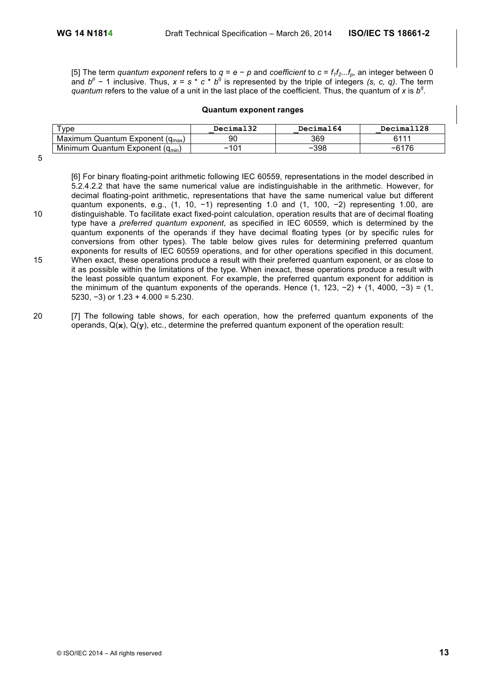[5] The term *quantum exponent* refers to  $q = e - p$  and *coefficient* to  $c = f_1f_2...f_p$ , an integer between 0 and  $b^p - 1$  inclusive. Thus,  $x = s * c * b^q$  is represented by the triple of integers *(s, c, q)*. The term *quantum* refers to the value of a unit in the last place of the coefficient. Thus, the quantum of *x* is *b<sup>q</sup>* .

## **Quantum exponent ranges**

| vpe                                                  | Decimal32      | Decimal64 | Decimal128  |
|------------------------------------------------------|----------------|-----------|-------------|
| Maximum<br>un Quantum Exponent (q <sub>max</sub> ) । | 90             | 369       | <b>Q111</b> |
| Minimum<br>. Quantum Exponent (q <sub>min</sub> )    | $\overline{A}$ | -398      | $-6176$     |

5

[6] For binary floating-point arithmetic following IEC 60559, representations in the model described in 5.2.4.2.2 that have the same numerical value are indistinguishable in the arithmetic. However, for decimal floating-point arithmetic, representations that have the same numerical value but different quantum exponents, e.g., (1, 10, -1) representing 1.0 and (1, 100, -2) representing 1.00, are 10 distinguishable. To facilitate exact fixed-point calculation, operation results that are of decimal floating type have a *preferred quantum exponent*, as specified in IEC 60559, which is determined by the quantum exponents of the operands if they have decimal floating types (or by specific rules for conversions from other types). The table below gives rules for determining preferred quantum exponents for results of IEC 60559 operations, and for other operations specified in this document. 15 When exact, these operations produce a result with their preferred quantum exponent, or as close to it as possible within the limitations of the type. When inexact, these operations produce a result with the least possible quantum exponent. For example, the preferred quantum exponent for addition is the minimum of the quantum exponents of the operands. Hence  $(1, 123, -2) + (1, 4000, -3) = (1,$ 5230,  $-3$ ) or 1.23 + 4.000 = 5.230.

20 [7] The following table shows, for each operation, how the preferred quantum exponents of the operands, Q(**x**), Q(**y**), etc., determine the preferred quantum exponent of the operation result: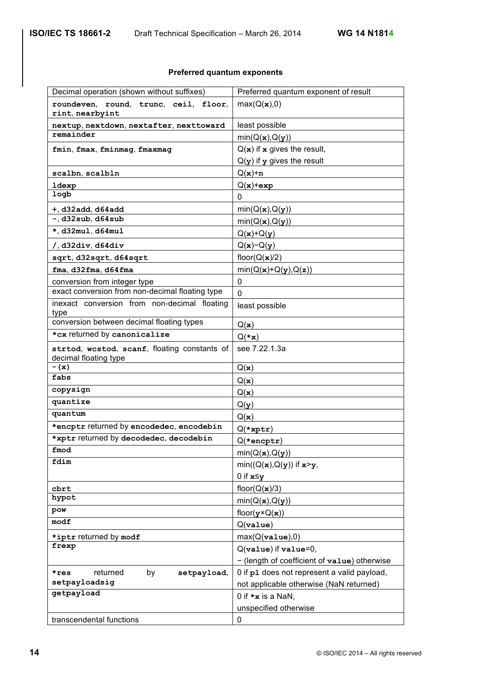## **Preferred quantum exponents**

| Decimal operation (shown without suffixes)                                      | Preferred quantum exponent of result         |
|---------------------------------------------------------------------------------|----------------------------------------------|
| roundeven, round, trunc, ceil, floor,<br>rint, nearbyint                        | max(Q(x),0)                                  |
| nextup, nextdown, nextafter, nexttoward                                         | least possible                               |
| remainder                                                                       | min(Q(x), Q(y))                              |
| fmin, fmax, fminmag, fmaxmag                                                    | $Q(x)$ if x gives the result,                |
|                                                                                 | $Q(y)$ if y gives the result                 |
| scalbn, scalbln                                                                 | $Q(x)+n$                                     |
| ldexp                                                                           | $Q(x)$ +exp                                  |
| logb                                                                            | 0                                            |
| $+$ , d $32$ add, d $64$ add                                                    | min(Q(x), Q(y))                              |
| $-$ , d32 $sub$ , d64 $sub$                                                     | min(Q(x), Q(y))                              |
| $\star$ , d32mul, d64mul                                                        | $Q(x)+Q(y)$                                  |
| $/$ , d32div, d64div                                                            | $Q(x)-Q(y)$                                  |
| sqrt, d32sqrt, d64sqrt                                                          | floor( $Q(x)/2$ )                            |
| fma, d32fma, d64fma                                                             |                                              |
|                                                                                 | $min(Q(x)+Q(y),Q(z))$                        |
| conversion from integer type<br>exact conversion from non-decimal floating type | 0                                            |
| inexact conversion from non-decimal floating                                    | $\mathbf 0$                                  |
| type                                                                            | least possible                               |
| conversion between decimal floating types                                       | Q(x)                                         |
| *cx returned by canonicalize                                                    | $Q(\star {\bf x})$                           |
| strtod, westod, scanf, floating constants of                                    | see 7.22.1.3a                                |
| decimal floating type                                                           |                                              |
| $-\overline{(x)}$                                                               | Q(x)                                         |
| fabs                                                                            | Q(x)                                         |
| copysign                                                                        | Q(x)                                         |
| quantize                                                                        | Q(y)                                         |
| quantum                                                                         | Q(x)                                         |
| *encptr returned by encodedec, encodebin                                        | $Q$ (*xptr)                                  |
| *xptr returned by decodedec, decodebin                                          | $Q$ (*encptr)                                |
| fmod                                                                            | min(Q(x), Q(y))                              |
| fdim                                                                            | $min((Q(x), Q(y))$ if $x > y$ ,              |
|                                                                                 | 0 if $x \leq y$                              |
|                                                                                 | floor( $Q(\mathbf{x})/3$ )                   |
| cbrt<br>hypot                                                                   |                                              |
| pow                                                                             | min(Q(x), Q(y))                              |
| modf                                                                            | floor( $\mathbf{y} \times Q(\mathbf{x})$ )   |
|                                                                                 | $Q($ value $)$                               |
| *iptr returned by modf                                                          | max(Q( <b>value</b> ),0)                     |
| frexp                                                                           | $Q(\text{value})$ if $\text{value}=0$ ,      |
|                                                                                 | - (length of coefficient of value) otherwise |
| returned<br>by<br>setpayload,<br>*res                                           | 0 if p1 does not represent a valid payload,  |
| setpayloadsig                                                                   | not applicable otherwise (NaN returned)      |
| getpayload                                                                      | 0 if $\star$ <b>x</b> is a NaN,              |
|                                                                                 | unspecified otherwise                        |
| transcendental functions                                                        | 0                                            |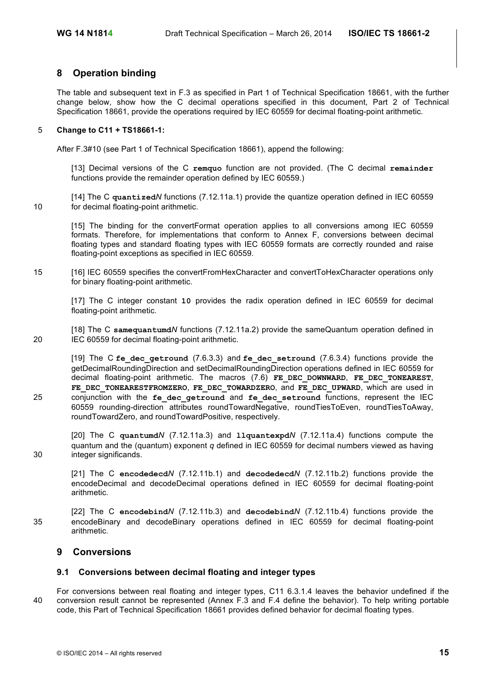## **8 Operation binding**

The table and subsequent text in F.3 as specified in Part 1 of Technical Specification 18661, with the further change below, show how the C decimal operations specified in this document, Part 2 of Technical Specification 18661, provide the operations required by IEC 60559 for decimal floating-point arithmetic.

## 5 **Change to C11 + TS18661-1:**

After F.3#10 (see Part 1 of Technical Specification 18661), append the following:

[13] Decimal versions of the C **remquo** function are not provided. (The C decimal **remainder** functions provide the remainder operation defined by IEC 60559.)

[14] The C **quantized***N* functions (7.12.11a.1) provide the quantize operation defined in IEC 60559 10 for decimal floating-point arithmetic.

[15] The binding for the convertFormat operation applies to all conversions among IEC 60559 formats. Therefore, for implementations that conform to Annex F, conversions between decimal floating types and standard floating types with IEC 60559 formats are correctly rounded and raise floating-point exceptions as specified in IEC 60559.

15 [16] IEC 60559 specifies the convertFromHexCharacter and convertToHexCharacter operations only for binary floating-point arithmetic.

[17] The C integer constant **10** provides the radix operation defined in IEC 60559 for decimal floating-point arithmetic.

[18] The C **samequantumd***N* functions (7.12.11a.2) provide the sameQuantum operation defined in 20 IEC 60559 for decimal floating-point arithmetic.

[19] The C **fe\_dec\_getround** (7.6.3.3) and **fe\_dec\_setround** (7.6.3.4) functions provide the getDecimalRoundingDirection and setDecimalRoundingDirection operations defined in IEC 60559 for decimal floating-point arithmetic. The macros (7.6) **FE\_DEC\_DOWNWARD**, **FE\_DEC\_TONEAREST**, FE DEC TONEARESTFROMZERO, FE DEC TOWARDZERO, and FE DEC UPWARD, which are used in 25 conjunction with the **fe\_dec\_getround** and **fe\_dec\_setround** functions, represent the IEC 60559 rounding-direction attributes roundTowardNegative, roundTiesToEven, roundTiesToAway, roundTowardZero, and roundTowardPositive, respectively.

[20] The C **quantumd***N* (7.12.11a.3) and **llquantexpd***N* (7.12.11a.4) functions compute the quantum and the (quantum) exponent *q* defined in IEC 60559 for decimal numbers viewed as having 30 integer significands.

[21] The C **encodedecd***N* (7.12.11b.1) and **decodedecd***N* (7.12.11b.2) functions provide the encodeDecimal and decodeDecimal operations defined in IEC 60559 for decimal floating-point arithmetic.

[22] The C **encodebind***N* (7.12.11b.3) and **decodebind***N* (7.12.11b.4) functions provide the 35 encodeBinary and decodeBinary operations defined in IEC 60559 for decimal floating-point arithmetic.

## **9 Conversions**

## **9.1 Conversions between decimal floating and integer types**

For conversions between real floating and integer types, C11 6.3.1.4 leaves the behavior undefined if the 40 conversion result cannot be represented (Annex F.3 and F.4 define the behavior). To help writing portable code, this Part of Technical Specification 18661 provides defined behavior for decimal floating types.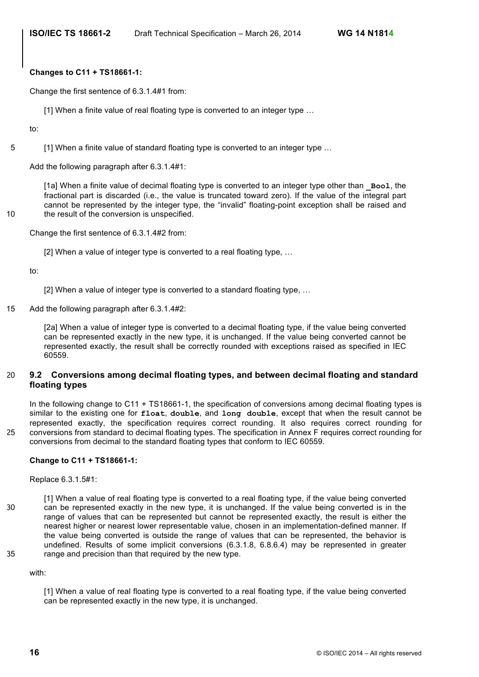## **Changes to C11 + TS18661-1:**

Change the first sentence of 6.3.1.4#1 from:

[1] When a finite value of real floating type is converted to an integer type ...

to:

5 [1] When a finite value of standard floating type is converted to an integer type …

Add the following paragraph after 6.3.1.4#1:

[1a] When a finite value of decimal floating type is converted to an integer type other than **\_Bool**, the fractional part is discarded (i.e., the value is truncated toward zero). If the value of the integral part cannot be represented by the integer type, the "invalid" floating-point exception shall be raised and 10 the result of the conversion is unspecified.

Change the first sentence of 6.3.1.4#2 from:

[2] When a value of integer type is converted to a real floating type, …

to:

[2] When a value of integer type is converted to a standard floating type, ...

15 Add the following paragraph after 6.3.1.4#2:

[2a] When a value of integer type is converted to a decimal floating type, if the value being converted can be represented exactly in the new type, it is unchanged. If the value being converted cannot be represented exactly, the result shall be correctly rounded with exceptions raised as specified in IEC 60559.

## 20 **9.2 Conversions among decimal floating types, and between decimal floating and standard floating types**

In the following change to C11 + TS18661-1, the specification of conversions among decimal floating types is similar to the existing one for **float**, **double**, and **long double**, except that when the result cannot be represented exactly, the specification requires correct rounding. It also requires correct rounding for 25 conversions from standard to decimal floating types. The specification in Annex F requires correct rounding for conversions from decimal to the standard floating types that conform to IEC 60559.

## **Change to C11 + TS18661-1:**

Replace 6.3.1.5#1:

[1] When a value of real floating type is converted to a real floating type, if the value being converted 30 can be represented exactly in the new type, it is unchanged. If the value being converted is in the range of values that can be represented but cannot be represented exactly, the result is either the nearest higher or nearest lower representable value, chosen in an implementation-defined manner. If the value being converted is outside the range of values that can be represented, the behavior is undefined. Results of some implicit conversions (6.3.1.8, 6.8.6.4) may be represented in greater 35 range and precision than that required by the new type.

with:

[1] When a value of real floating type is converted to a real floating type, if the value being converted can be represented exactly in the new type, it is unchanged.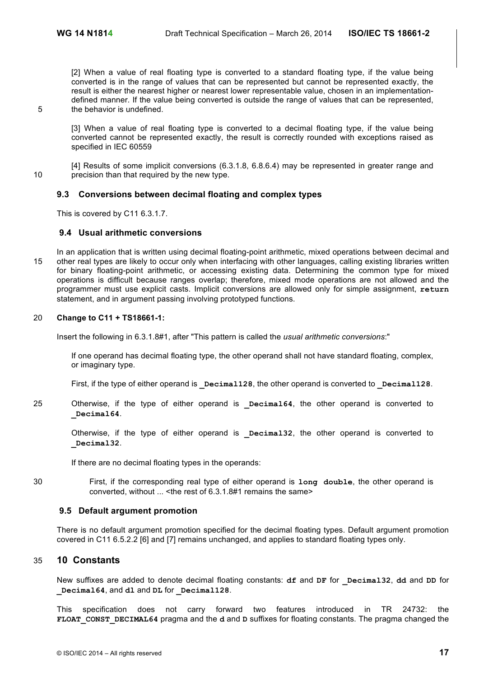[2] When a value of real floating type is converted to a standard floating type, if the value being converted is in the range of values that can be represented but cannot be represented exactly, the result is either the nearest higher or nearest lower representable value, chosen in an implementationdefined manner. If the value being converted is outside the range of values that can be represented, 5 the behavior is undefined.

[3] When a value of real floating type is converted to a decimal floating type, if the value being converted cannot be represented exactly, the result is correctly rounded with exceptions raised as specified in IEC 60559

[4] Results of some implicit conversions (6.3.1.8, 6.8.6.4) may be represented in greater range and 10 precision than that required by the new type.

## **9.3 Conversions between decimal floating and complex types**

This is covered by C11 6.3.1.7.

## **9.4 Usual arithmetic conversions**

In an application that is written using decimal floating-point arithmetic, mixed operations between decimal and 15 other real types are likely to occur only when interfacing with other languages, calling existing libraries written for binary floating-point arithmetic, or accessing existing data. Determining the common type for mixed operations is difficult because ranges overlap; therefore, mixed mode operations are not allowed and the programmer must use explicit casts. Implicit conversions are allowed only for simple assignment, **return** statement, and in argument passing involving prototyped functions.

## 20 **Change to C11 + TS18661-1:**

Insert the following in 6.3.1.8#1, after "This pattern is called the *usual arithmetic conversions*:"

If one operand has decimal floating type, the other operand shall not have standard floating, complex, or imaginary type.

First, if the type of either operand is **Decimal128**, the other operand is converted to **Decimal128**.

25 Otherwise, if the type of either operand is **Decimal64**, the other operand is converted to **\_Decimal64**.

Otherwise, if the type of either operand is **Decimal32**, the other operand is converted to **\_Decimal32**.

If there are no decimal floating types in the operands:

30 First, if the corresponding real type of either operand is **long double**, the other operand is converted, without ... <the rest of 6.3.1.8#1 remains the same>

## **9.5 Default argument promotion**

There is no default argument promotion specified for the decimal floating types. Default argument promotion covered in C11 6.5.2.2 [6] and [7] remains unchanged, and applies to standard floating types only.

## 35 **10 Constants**

New suffixes are added to denote decimal floating constants: **df** and **DF** for **\_Decimal32**, **dd** and **DD** for **\_Decimal64**, and **dl** and **DL** for **\_Decimal128**.

This specification does not carry forward two features introduced in TR 24732: the **FLOAT\_CONST\_DECIMAL64** pragma and the **d** and **D** suffixes for floating constants. The pragma changed the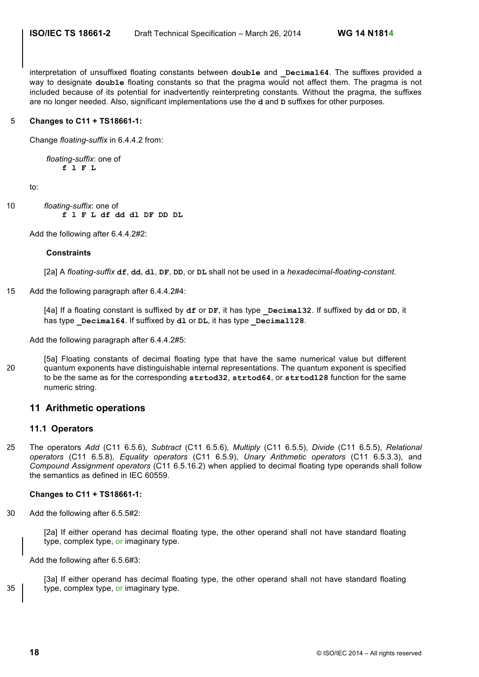interpretation of unsuffixed floating constants between double and **Decimal64**. The suffixes provided a way to designate **double** floating constants so that the pragma would not affect them. The pragma is not included because of its potential for inadvertently reinterpreting constants. Without the pragma, the suffixes are no longer needed. Also, significant implementations use the **d** and **D** suffixes for other purposes.

## 5 **Changes to C11 + TS18661-1:**

Change *floating-suffix* in 6.4.4.2 from:

*floating-suffix*: one of **f l F L**

to:

```
10 floating-suffix: one of
            f l F L df dd dl DF DD DL
```
Add the following after 6.4.4.2#2:

### **Constraints**

[2a] A *floating-suffix* **df**, **dd**, **dl**, **DF**, **DD**, or **DL** shall not be used in a *hexadecimal-floating-constant*.

15 Add the following paragraph after 6.4.4.2#4:

[4a] If a floating constant is suffixed by **df** or **DF**, it has type **\_Decimal32**. If suffixed by **dd** or **DD**, it has type **Decimal64**. If suffixed by **dl** or **DL**, it has type **Decimal128**.

Add the following paragraph after 6.4.4.2#5:

[5a] Floating constants of decimal floating type that have the same numerical value but different 20 quantum exponents have distinguishable internal representations. The quantum exponent is specified to be the same as for the corresponding **strtod32**, **strtod64**, or **strtod128** function for the same numeric string.

## **11 Arithmetic operations**

## **11.1 Operators**

25 The operators *Add* (C11 6.5.6), *Subtract* (C11 6.5.6), *Multiply* (C11 6.5.5), *Divide* (C11 6.5.5), *Relational operators* (C11 6.5.8), *Equality operators* (C11 6.5.9), *Unary Arithmetic operators* (C11 6.5.3.3), and *Compound Assignment operators* (C11 6.5.16.2) when applied to decimal floating type operands shall follow the semantics as defined in IEC 60559.

## **Changes to C11 + TS18661-1:**

30 Add the following after 6.5.5#2:

[2a] If either operand has decimal floating type, the other operand shall not have standard floating type, complex type, or imaginary type.

Add the following after 6.5.6#3:

```
[3a] If either operand has decimal floating type, the other operand shall not have standard floating
35 \vert type, complex type, or imaginary type.
```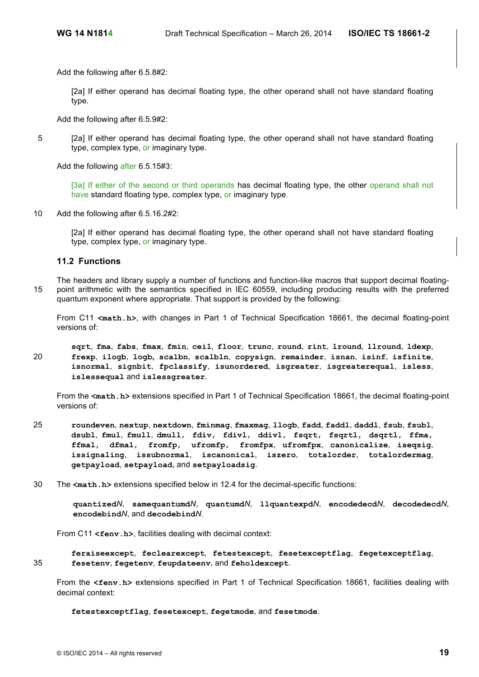Add the following after 6.5.8#2:

[2a] If either operand has decimal floating type, the other operand shall not have standard floating type.

Add the following after 6.5.9#2:

5 [2a] If either operand has decimal floating type, the other operand shall not have standard floating type, complex type, or imaginary type.

Add the following after 6.5.15#3:

[3a] If either of the second or third operands has decimal floating type, the other operand shall not have standard floating type, complex type, or imaginary type.

10 Add the following after 6.5.16.2#2:

[2a] If either operand has decimal floating type, the other operand shall not have standard floating type, complex type, or imaginary type.

## **11.2 Functions**

The headers and library supply a number of functions and function-like macros that support decimal floating-15 point arithmetic with the semantics specified in IEC 60559, including producing results with the preferred quantum exponent where appropriate. That support is provided by the following:

From C11 **<math.h>**, with changes in Part 1 of Technical Specification 18661, the decimal floating-point versions of:

**sqrt**, **fma**, **fabs**, **fmax**, **fmin**, **ceil**, **floor**, **trunc**, **round**, **rint**, **lround**, **llround**, **ldexp**, 20 **frexp**, **ilogb**, **logb, scalbn**, **scalbln**, **copysign**, **remainder**, **isnan**, **isinf**, **isfinite**, **isnormal**, **signbit**, **fpclassify**, **isunordered**, **isgreater**, **isgreaterequal**, **isless**, **islessequal** and **islessgreater**.

From the **<math.h>** extensions specified in Part 1 of Technical Specification 18661, the decimal floating-point versions of:

- 25 **roundeven**, **nextup**, **nextdown**, **fminmag**, **fmaxmag**, **llogb**, **fadd**, **faddl**, **daddl**, **fsub**, **fsubl**, **dsubl**, **fmul**, **fmull**, **dmull**, **fdiv**, **fdivl**, **ddivl**, **fsqrt**, **fsqrtl**, **dsqrtl**, **ffma**, **ffmal**, **dfmal**, **fromfp**, **ufromfp**, **fromfpx**, **ufromfpx**, **canonicalize**, **iseqsig**, **issignaling**, **issubnormal**, **iscanonical**, **iszero**, **totalorder**, **totalordermag**, **getpayload**, **setpayload**, and **setpayloadsig**.
- 30 The **<math.h>** extensions specified below in 12.4 for the decimal-specific functions:

**quantized***N*, **samequantumd***N*, **quantumd***N*, **llquantexpd***N*, **encodedecd***N*, **decodedecd***N*, **encodebind***N*, and **decodebind***N*.

From C11 <**fenv.h>**, facilities dealing with decimal context:

**feraiseexcept**, **feclearexcept**, **fetestexcept**, **fesetexceptflag**, **fegetexceptflag**, 35 **fesetenv**, **fegetenv**, **feupdateenv**, and **feholdexcept**.

From the **<fenv.h>** extensions specified in Part 1 of Technical Specification 18661, facilities dealing with decimal context:

**fetestexceptflag**, **fesetexcept**, **fegetmode**, and **fesetmode**.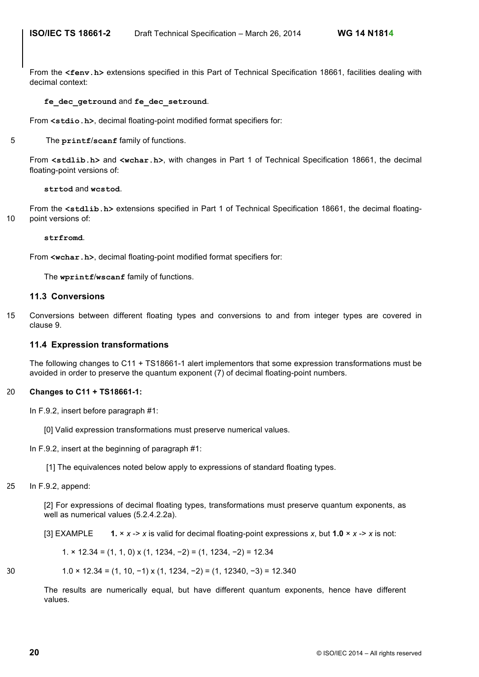From the **<fenv.h>** extensions specified in this Part of Technical Specification 18661, facilities dealing with decimal context:

## **fe\_dec\_getround** and **fe\_dec\_setround**.

From **<stdio.h>**, decimal floating-point modified format specifiers for:

### 5 The **printf**/**scanf** family of functions.

From **<stdlib.h>** and **<wchar.h>**, with changes in Part 1 of Technical Specification 18661, the decimal floating-point versions of:

#### **strtod** and **wcstod**.

From the **<stdlib.h>** extensions specified in Part 1 of Technical Specification 18661, the decimal floating-10 point versions of:

#### **strfromd**.

From **<wchar.h>**, decimal floating-point modified format specifiers for:

The **wprintf**/**wscanf** family of functions.

## **11.3 Conversions**

15 Conversions between different floating types and conversions to and from integer types are covered in clause 9.

## **11.4 Expression transformations**

The following changes to C11 + TS18661-1 alert implementors that some expression transformations must be avoided in order to preserve the quantum exponent (7) of decimal floating-point numbers.

### 20 **Changes to C11 + TS18661-1:**

In F.9.2, insert before paragraph #1:

[0] Valid expression transformations must preserve numerical values.

In F.9.2, insert at the beginning of paragraph #1:

[1] The equivalences noted below apply to expressions of standard floating types.

#### 25 In F.9.2, append:

[2] For expressions of decimal floating types, transformations must preserve quantum exponents, as well as numerical values (5.2.4.2.2a).

[3] EXAMPLE **1.**  $\times$  *x*  $\cdot$  > *x* is valid for decimal floating-point expressions *x*, but **1.0**  $\times$  *x*  $\cdot$  > *x* is not:

$$
1. \times 12.34 = (1, 1, 0) \times (1, 1234, -2) = (1, 1234, -2) = 12.34
$$

30 1.0 × 12.34 = (1, 10, −1) x (1, 1234, −2) = (1, 12340, −3) = 12.340

The results are numerically equal, but have different quantum exponents, hence have different values.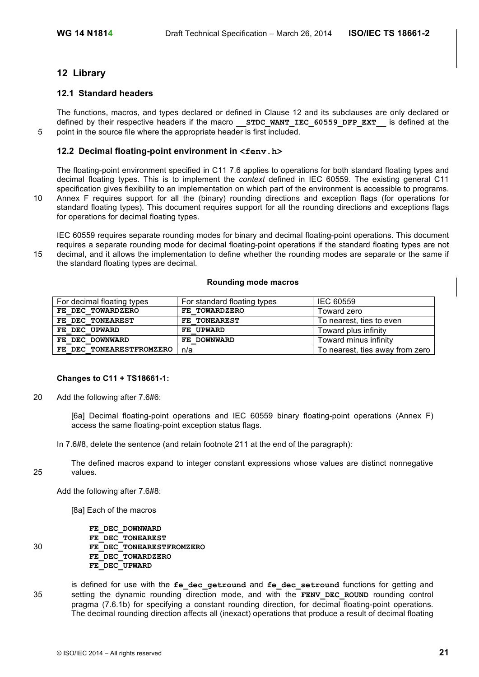## **12 Library**

## **12.1 Standard headers**

The functions, macros, and types declared or defined in Clause 12 and its subclauses are only declared or defined by their respective headers if the macro **\_\_STDC\_WANT\_IEC\_60559\_DFP\_EXT\_\_** is defined at the 5 point in the source file where the appropriate header is first included.

## **12.2 Decimal floating-point environment in <fenv.h>**

The floating-point environment specified in C11 7.6 applies to operations for both standard floating types and decimal floating types. This is to implement the *context* defined in IEC 60559. The existing general C11 specification gives flexibility to an implementation on which part of the environment is accessible to programs.

10 Annex F requires support for all the (binary) rounding directions and exception flags (for operations for standard floating types). This document requires support for all the rounding directions and exceptions flags for operations for decimal floating types.

IEC 60559 requires separate rounding modes for binary and decimal floating-point operations. This document requires a separate rounding mode for decimal floating-point operations if the standard floating types are not 15 decimal, and it allows the implementation to define whether the rounding modes are separate or the same if the standard floating types are decimal.

### **Rounding mode macros**

| For decimal floating types | For standard floating types | IEC 60559                       |
|----------------------------|-----------------------------|---------------------------------|
| FE DEC TOWARDZERO          | FE TOWARDZERO               | Toward zero                     |
| FE DEC TONEAREST           | FE TONEAREST                | To nearest, ties to even        |
| FE DEC UPWARD              | FE UPWARD                   | Toward plus infinity            |
| FE DEC DOWNWARD            | FE DOWNWARD                 | Toward minus infinity           |
| FE DEC TONEARESTFROMZERO   | n/a                         | To nearest, ties away from zero |

## **Changes to C11 + TS18661-1:**

20 Add the following after 7.6#6:

[6a] Decimal floating-point operations and IEC 60559 binary floating-point operations (Annex F) access the same floating-point exception status flags.

In 7.6#8, delete the sentence (and retain footnote 211 at the end of the paragraph):

The defined macros expand to integer constant expressions whose values are distinct nonnegative 25 values.

Add the following after 7.6#8:

[8a] Each of the macros

**FE\_DEC\_DOWNWARD FE\_DEC\_TONEAREST** 30 **FE\_DEC\_TONEARESTFROMZERO FE\_DEC\_TOWARDZERO FE\_DEC\_UPWARD**

is defined for use with the **fe\_dec\_getround** and **fe\_dec\_setround** functions for getting and 35 setting the dynamic rounding direction mode, and with the **FENV\_DEC\_ROUND** rounding control pragma (7.6.1b) for specifying a constant rounding direction, for decimal floating-point operations. The decimal rounding direction affects all (inexact) operations that produce a result of decimal floating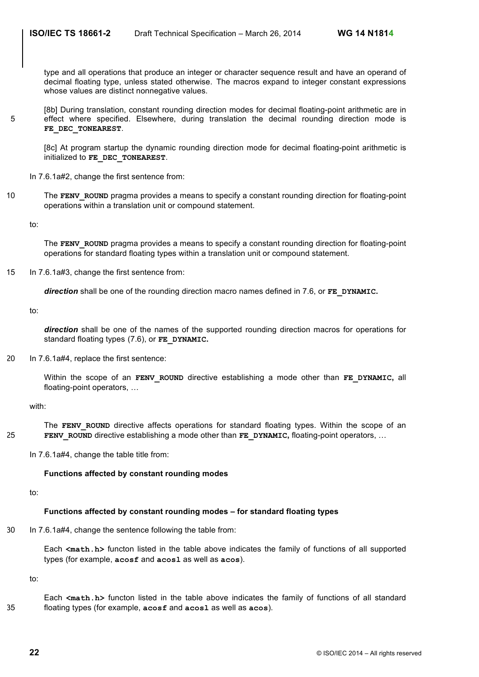type and all operations that produce an integer or character sequence result and have an operand of decimal floating type, unless stated otherwise. The macros expand to integer constant expressions whose values are distinct nonnegative values.

[8b] During translation, constant rounding direction modes for decimal floating-point arithmetic are in 5 effect where specified. Elsewhere, during translation the decimal rounding direction mode is **FE\_DEC\_TONEAREST**.

[8c] At program startup the dynamic rounding direction mode for decimal floating-point arithmetic is initialized to **FE\_DEC\_TONEAREST**.

In 7.6.1a#2, change the first sentence from:

10 The **FENV** ROUND pragma provides a means to specify a constant rounding direction for floating-point operations within a translation unit or compound statement.

to:

The **FENV** ROUND pragma provides a means to specify a constant rounding direction for floating-point operations for standard floating types within a translation unit or compound statement.

15 In 7.6.1a#3, change the first sentence from:

*direction* shall be one of the rounding direction macro names defined in 7.6, or **FE\_DYNAMIC.**

to:

*direction* shall be one of the names of the supported rounding direction macros for operations for standard floating types (7.6), or **FE\_DYNAMIC.**

20 In 7.6.1a#4, replace the first sentence:

Within the scope of an FENV ROUND directive establishing a mode other than FE DYNAMIC, all floating-point operators, …

with:

The FENV ROUND directive affects operations for standard floating types. Within the scope of an 25 **FENV\_ROUND** directive establishing a mode other than **FE\_DYNAMIC,** floating-point operators, …

In 7.6.1a#4, change the table title from:

#### **Functions affected by constant rounding modes**

to:

## **Functions affected by constant rounding modes – for standard floating types**

30 In 7.6.1a#4, change the sentence following the table from:

Each **<math.h>** functon listed in the table above indicates the family of functions of all supported types (for example, **acosf** and **acosl** as well as **acos**).

to:

Each <math.h> functon listed in the table above indicates the family of functions of all standard 35 floating types (for example, **acosf** and **acosl** as well as **acos**).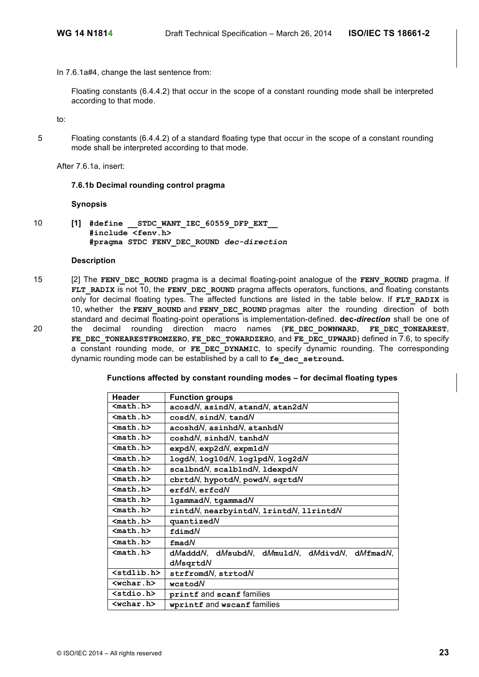In 7.6.1a#4, change the last sentence from:

Floating constants (6.4.4.2) that occur in the scope of a constant rounding mode shall be interpreted according to that mode.

to:

5 Floating constants (6.4.4.2) of a standard floating type that occur in the scope of a constant rounding mode shall be interpreted according to that mode.

After 7.6.1a, insert:

## **7.6.1b Decimal rounding control pragma**

## **Synopsis**

10 **[1] #define \_\_STDC\_WANT\_IEC\_60559\_DFP\_EXT\_\_ #include <fenv.h> #pragma STDC FENV\_DEC\_ROUND** *dec-direction*

## **Description**

15 [2] The **FENV\_DEC\_ROUND** pragma is a decimal floating-point analogue of the **FENV\_ROUND** pragma. If **FLT\_RADIX** is not 10, the **FENV\_DEC\_ROUND** pragma affects operators, functions, and floating constants only for decimal floating types. The affected functions are listed in the table below. If **FLT\_RADIX** is 10, whether the **FENV\_ROUND** and **FENV\_DEC\_ROUND** pragmas alter the rounding direction of both standard and decimal floating-point operations is implementation-defined. **dec-***direction* shall be one of 20 the decimal rounding direction macro names (**FE\_DEC\_DOWNWARD**, **FE\_DEC\_TONEAREST**, **FE\_DEC\_TONEARESTFROMZERO**, **FE\_DEC\_TOWARDZERO**, and **FE\_DEC\_UPWARD**) defined in 7.6, to specify a constant rounding mode, or FE DEC DYNAMIC, to specify dynamic rounding. The corresponding dynamic rounding mode can be established by a call to **fe\_dec\_setround.**

| Functions affected by constant rounding modes – for decimal floating types |  |  |  |  |
|----------------------------------------------------------------------------|--|--|--|--|
|----------------------------------------------------------------------------|--|--|--|--|

| Header                | <b>Function groups</b>                       |
|-----------------------|----------------------------------------------|
| $nath.h>$             | acosdN, asindN, atandN, atan2dN              |
| $math.h$              | cosdN, sindN, tandN                          |
| <math.h></math.h>     | $acosh dN$ , asinhd $N$ , atanhd $N$         |
| $math.h$              | $\cosh dN$ , sinhd $N$ , tanhd $N$           |
| $mathh.h>$            | $expdN$ , $exp2dN$ , $expm1dN$               |
| $mathh.h>$            | logdN, log10dN, log1pdN, log2dN              |
| $math. h>$            | scalbndN, scalblndN, ldexpdN                 |
| $math. h>$            | cbrtdN, hypotdN, powdN, sqrtdN               |
| $mathh.h>$            | $erfdN$ , $erfcdN$                           |
| $nath.h$              | $1$ gammad $N$ , tgammad $N$                 |
| $nath.h$              | rintdN, nearbyintdN, 1rintdN, 11rintdN       |
| <math.h></math.h>     | quantizedN                                   |
| $mathh.h>$            | <b>Homibi</b>                                |
| $nath.h$              | $f$ mad $N$                                  |
| $mathh.h>$            | dMadddN, dMsubdN, dMmuldN, dMdivdN, dMfmadN, |
|                       | dMsqrtdN                                     |
| <stdlib.h></stdlib.h> | strfromdN, strtodN                           |
| $wchar.h$             | wcstodN                                      |
| <stdio.h></stdio.h>   | printf and scanf families                    |
| $wchar.b>$            | wprintf and wscanf families                  |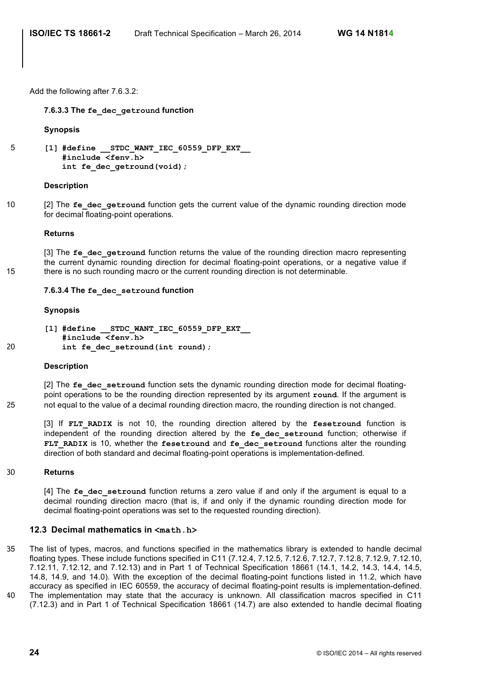Add the following after 7.6.3.2:

#### **7.6.3.3 The fe\_dec\_getround function**

#### **Synopsis**

```
5 [1] #define __STDC_WANT_IEC_60559_DFP_EXT__
          #include <fenv.h>
          int fe_dec_getround(void);
```
### **Description**

10 [2] The **fe\_dec\_getround** function gets the current value of the dynamic rounding direction mode for decimal floating-point operations.

#### **Returns**

[3] The **fe** dec getround function returns the value of the rounding direction macro representing the current dynamic rounding direction for decimal floating-point operations, or a negative value if 15 there is no such rounding macro or the current rounding direction is not determinable.

#### **7.6.3.4 The fe\_dec\_setround function**

#### **Synopsis**

```
[1] #define __STDC_WANT_IEC_60559_DFP_EXT__
           #include <fenv.h>
20 int fe dec setround(int round);
```
### **Description**

[2] The *fe* dec setround function sets the dynamic rounding direction mode for decimal floatingpoint operations to be the rounding direction represented by its argument **round**. If the argument is 25 not equal to the value of a decimal rounding direction macro, the rounding direction is not changed.

[3] If **FLT\_RADIX** is not 10, the rounding direction altered by the **fesetround** function is independent of the rounding direction altered by the **fe\_dec\_setround** function; otherwise if FLT RADIX is 10, whether the fesetround and fe dec setround functions alter the rounding direction of both standard and decimal floating-point operations is implementation-defined.

## 30 **Returns**

[4] The *fe* dec setround function returns a zero value if and only if the argument is equal to a decimal rounding direction macro (that is, if and only if the dynamic rounding direction mode for decimal floating-point operations was set to the requested rounding direction).

### **12.3 Decimal mathematics in <math.h>**

- 35 The list of types, macros, and functions specified in the mathematics library is extended to handle decimal floating types. These include functions specified in C11 (7.12.4, 7.12.5, 7.12.6, 7.12.7, 7.12.8, 7.12.9, 7.12.10, 7.12.11, 7.12.12, and 7.12.13) and in Part 1 of Technical Specification 18661 (14.1, 14.2, 14.3, 14.4, 14.5, 14.8, 14.9, and 14.0). With the exception of the decimal floating-point functions listed in 11.2, which have accuracy as specified in IEC 60559, the accuracy of decimal floating-point results is implementation-defined. 40 The implementation may state that the accuracy is unknown. All classification macros specified in C11
- (7.12.3) and in Part 1 of Technical Specification 18661 (14.7) are also extended to handle decimal floating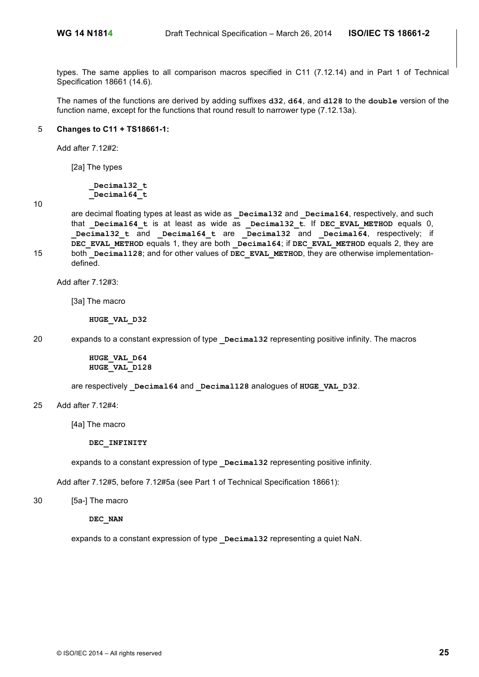types. The same applies to all comparison macros specified in C11 (7.12.14) and in Part 1 of Technical Specification 18661 (14.6).

The names of the functions are derived by adding suffixes **d32**, **d64**, and **d128** to the **double** version of the function name, except for the functions that round result to narrower type (7.12.13a).

## 5 **Changes to C11 + TS18661-1:**

Add after 7.12#2:

[2a] The types

**\_Decimal32\_t \_Decimal64\_t**

10

are decimal floating types at least as wide as **Decimal32** and **Decimal64**, respectively, and such that **\_Decimal64\_t** is at least as wide as **\_Decimal32\_t**. If **DEC\_EVAL\_METHOD** equals 0, **Decimal32** t and **Decimal64** t are **Decimal32** and **Decimal64**, respectively; if DEC EVAL METHOD equals 1, they are both **Decimal64**; if DEC EVAL METHOD equals 2, they are 15 both **Decimal128**; and for other values of **DEC** EVAL METHOD, they are otherwise implementationdefined.

Add after 7.12#3:

[3a] The macro

**HUGE\_VAL\_D32**

20 expands to a constant expression of type **Decimal32** representing positive infinity. The macros

**HUGE\_VAL\_D64 HUGE\_VAL\_D128**

are respectively **Decimal64** and **Decimal128** analogues of **HUGE** VAL D32.

25 Add after 7.12#4:

[4a] The macro

**DEC\_INFINITY**

expands to a constant expression of type **Decimal32** representing positive infinity.

Add after 7.12#5, before 7.12#5a (see Part 1 of Technical Specification 18661):

30 [5a-] The macro

**DEC\_NAN**

expands to a constant expression of type **Decimal32** representing a quiet NaN.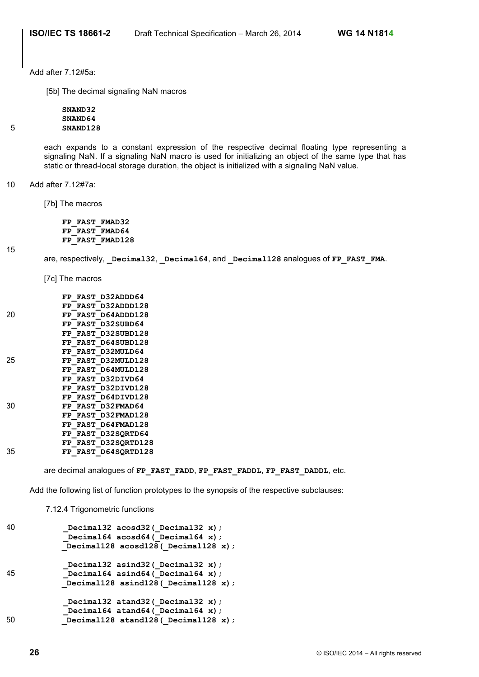Add after 7.12#5a:

[5b] The decimal signaling NaN macros

**SNAND32 SNAND64** 5 **SNAND128**

> each expands to a constant expression of the respective decimal floating type representing a signaling NaN. If a signaling NaN macro is used for initializing an object of the same type that has static or thread-local storage duration, the object is initialized with a signaling NaN value.

10 Add after 7.12#7a:

[7b] The macros

**FP\_FAST\_FMAD32 FP\_FAST\_FMAD64 FP\_FAST\_FMAD128**

15

are, respectively, **\_Decimal32**, **\_Decimal64**, and **\_Decimal128** analogues of **FP\_FAST\_FMA**.

[7c] The macros

|    | FAST D32ADDD64<br>FP         |
|----|------------------------------|
|    | FP FAST D32ADDD128           |
| 20 | FP FAST D64ADDD128           |
|    | FAST D32SUBD64<br>FP.        |
|    | FAST D32SUBD128<br>FP        |
|    | <b>FAST D64SUBD128</b><br>FP |
|    | FP FAST D32MULD64            |
| 25 | FP FAST D32MULD128           |
|    | FP FAST D64MULD128           |
|    | FP FAST D32DIVD64            |
|    | FP FAST D32DIVD128           |
|    | FP FAST D64DIVD128           |
| 30 | FP FAST D32FMAD64            |
|    | FP FAST D32FMAD128           |
|    | FP FAST D64FMAD128           |
|    | FP FAST D32SORTD64           |
|    | FP FAST D32SORTD128          |
| 35 | <b>FP FAST D64SORTD128</b>   |

are decimal analogues of **FP\_FAST\_FADD**, **FP\_FAST\_FADDL**, **FP\_FAST\_DADDL**, etc.

Add the following list of function prototypes to the synopsis of the respective subclauses:

7.12.4 Trigonometric functions

```
40 _Decimal32 acosd32(_Decimal32 x);
            _Decimal64 acosd64(_Decimal64 x);
          _Decimal128 acosd128(_Decimal128 x);
           _Decimal32 asind32(_Decimal32 x);
45 _Decimal64 asind64(_Decimal64 x);
          _Decimal128 asind128(_Decimal128 x);
           Decimal32 atand32 ( Decimal32 x);
           Decimal64 atand64 (Decimal64 x);
50 _Decimal128 atand128(_Decimal128 x);
```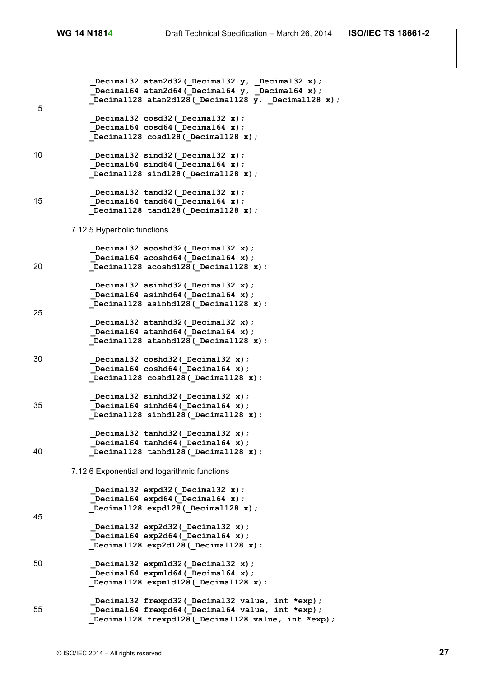**\_Decimal32 atan2d32(\_Decimal32 y, \_Decimal32 x); \_Decimal64 atan2d64(\_Decimal64 y, \_Decimal64 x); \_Decimal128 atan2d128(\_Decimal128 y, \_Decimal128 x);** 5  **\_Decimal32 cosd32(\_Decimal32 x);** Decimal64 cosd64(Decimal64 x); **\_Decimal128 cosd128(\_Decimal128 x);** 10 **\_Decimal32 sind32(\_Decimal32 x);** Decimal64 sind64 (Decimal64 x); **\_Decimal128 sind128(\_Decimal128 x);** Decimal32 tand32(Decimal32 x); 15 **\_Decimal64 tand64(\_Decimal64 x); \_Decimal128 tand128(\_Decimal128 x);** 7.12.5 Hyperbolic functions  **\_Decimal32 acoshd32(\_Decimal32 x); \_Decimal64 acoshd64(\_Decimal64 x);** 20 **\_Decimal128 acoshd128(\_Decimal128 x); \_Decimal32 asinhd32(\_Decimal32 x);** Decimal64 asinhd64(Decimal64 x); Decimal128 asinhd128 (Decimal128 x); 25 Decimal32 atanhd32( Decimal32 x); Decimal64 atanhd64 (Decimal64 x); Decimal128 atanhd128 (Decimal128 x); 30 **\_Decimal32 coshd32(\_Decimal32 x);** Decimal64 coshd64 (Decimal64 x); **\_Decimal128 coshd128(\_Decimal128 x); \_Decimal32 sinhd32(\_Decimal32 x);** 35 **\_Decimal64 sinhd64(\_Decimal64 x); \_Decimal128 sinhd128(\_Decimal128 x); \_Decimal32 tanhd32(\_Decimal32 x); \_Decimal64 tanhd64(\_Decimal64 x);** 40 **\_Decimal128 tanhd128(\_Decimal128 x);** 7.12.6 Exponential and logarithmic functions Decimal32 expd32( Decimal32 x); Decimal64 expd64( Decimal64 x); **\_Decimal128 expd128(\_Decimal128 x);** 45 Decimal32 exp2d32( Decimal32 x); Decimal64 exp2d64(Decimal64 x); **\_Decimal128 exp2d128(\_Decimal128 x);** 50 **\_Decimal32 expm1d32(\_Decimal32 x); \_Decimal64 expm1d64(\_Decimal64 x); \_Decimal128 expm1d128(\_Decimal128 x); \_Decimal32 frexpd32(\_Decimal32 value, int \*exp);** 55 **\_Decimal64 frexpd64(\_Decimal64 value, int \*exp);**

Decimal128 frexpd128(Decimal128 value, int \*exp);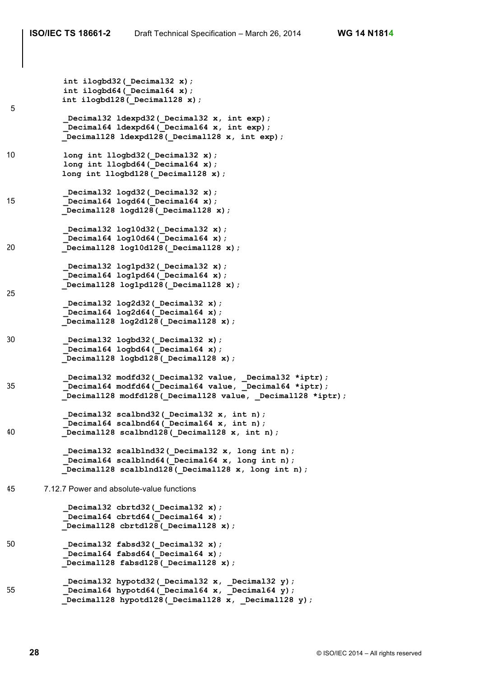```
 int ilogbd32(_Decimal32 x);
            int ilogbd64(_Decimal64 x);
           int ilogbd128(_Decimal128 x);
5
            _Decimal32 ldexpd32(_Decimal32 x, int exp);
           Decimal64 ldexpd64( Decimal64 x, int exp);
           _Decimal128 ldexpd128(_Decimal128 x, int exp);
10 long int llogbd32(_Decimal32 x);
            long int llogbd64(_Decimal64 x);
           long int llogbd128 (Decimal128 x);
            Decimal32 logd32( Decimal32 x);
15 _Decimal64 logd64(_Decimal64 x);
           _Decimal128 logd128(_Decimal128 x);
             _Decimal32 log10d32(_Decimal32 x);
            Decimal64 log10d64( Decimal64 x);
20 _Decimal128 log10d128(_Decimal128 x);
            _Decimal32 log1pd32(_Decimal32 x);
            _Decimal64 log1pd64(_Decimal64 x);
           _Decimal128 log1pd128(_Decimal128 x);
25
           Decimal32 log2d32( Decimal32 x);
           Decimal64 log2d64( Decimal64 x);
           _Decimal128 log2d128(_Decimal128 x);
30 _Decimal32 logbd32(_Decimal32 x);
            Decimal64 logbd64( Decimal64 x);
           _Decimal128 logbd128(_Decimal128 x);
             _Decimal32 modfd32(_Decimal32 value, _Decimal32 *iptr);
35 _Decimal64 modfd64(_Decimal64 value, _Decimal64 *iptr);
           Decimal128 modfd128( Decimal128 value, Decimal128 *iptr);
            Decimal32 scalbnd32 (Decimal32 x, int n);
            Decimal64 scalbnd64(Decimal64 x, int n);
40 _Decimal128 scalbnd128(_Decimal128 x, int n);
            _Decimal32 scalblnd32(_Decimal32 x, long int n);
            _Decimal64 scalblnd64(_Decimal64 x, long int n);
           Decimal128 scalblnd128(Decimal128 x, long int n);
45 7.12.7 Power and absolute-value functions
            Decimal32 cbrtd32 (Decimal32 x);
            Decimal64 cbrtd64( Decimal64 x);
           Decimal128 cbrtd128(Decimal128 x);
50 _Decimal32 fabsd32(_Decimal32 x);
            Decimal64 fabsd64( Decimal64 x);
           _Decimal128 fabsd128(_Decimal128 x);
             _Decimal32 hypotd32(_Decimal32 x, _Decimal32 y);
55 _Decimal64 hypotd64(_Decimal64 x, _Decimal64 y);
           Decimal128 hypotd128(Decimal128 x, Decimal128 y);
```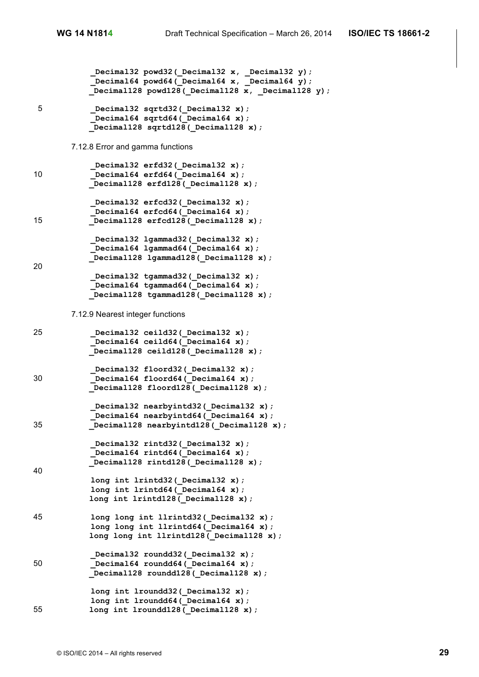**\_Decimal32 powd32(\_Decimal32 x, \_Decimal32 y); \_Decimal64 powd64(\_Decimal64 x, \_Decimal64 y); \_Decimal128 powd128(\_Decimal128 x, \_Decimal128 y);** 5 **\_Decimal32 sqrtd32(\_Decimal32 x);** Decimal64 sqrtd64( Decimal64 x); Decimal128 sqrtd128(Decimal128 x); 7.12.8 Error and gamma functions Decimal32 erfd32 (Decimal32 x); 10 **Decimal64 erfd64(** Decimal64 x); **\_Decimal128 erfd128(\_Decimal128 x); \_Decimal32 erfcd32(\_Decimal32 x);** Decimal64 erfcd64( Decimal64 x); 15 **\_Decimal128 erfcd128(\_Decimal128 x); \_Decimal32 lgammad32(\_Decimal32 x);** Decimal64 lgammad64( Decimal64 x); **\_Decimal128 lgammad128(\_Decimal128 x);** 20  **\_Decimal32 tgammad32(\_Decimal32 x); \_Decimal64 tgammad64(\_Decimal64 x);** Decimal128 tgammad128 (Decimal128 x); 7.12.9 Nearest integer functions 25 **\_Decimal32 ceild32(\_Decimal32 x);** Decimal64 ceild64(Decimal64 x); **\_Decimal128 ceild128(\_Decimal128 x);** Decimal32 floord32(Decimal32 x); 30 **Decimal64 floord64(Decimal64 x)**; **\_Decimal128 floord128(\_Decimal128 x); \_Decimal32 nearbyintd32(\_Decimal32 x); \_Decimal64 nearbyintd64(\_Decimal64 x);** 35 **\_Decimal128 nearbyintd128(\_Decimal128 x);** Decimal32 rintd32( Decimal32 x); Decimal64 rintd64( Decimal64 x); **\_Decimal128 rintd128(\_Decimal128 x);** 40  **long int lrintd32(\_Decimal32 x); long int lrintd64(\_Decimal64 x);** long int lrintd128 (Decimal128 x); 45 **long long int llrintd32(\_Decimal32 x);** long long int llrintd64( Decimal64 x); long long int llrintd128 (Decimal128 x); Decimal32 roundd32 (Decimal32 x); 50 **Decimal64 roundd64 (Decimal64 x)**; **\_Decimal128 roundd128(\_Decimal128 x); long int lroundd32(\_Decimal32 x); long int lroundd64(\_Decimal64 x);** 55 **long int lroundd128(\_Decimal128 x);**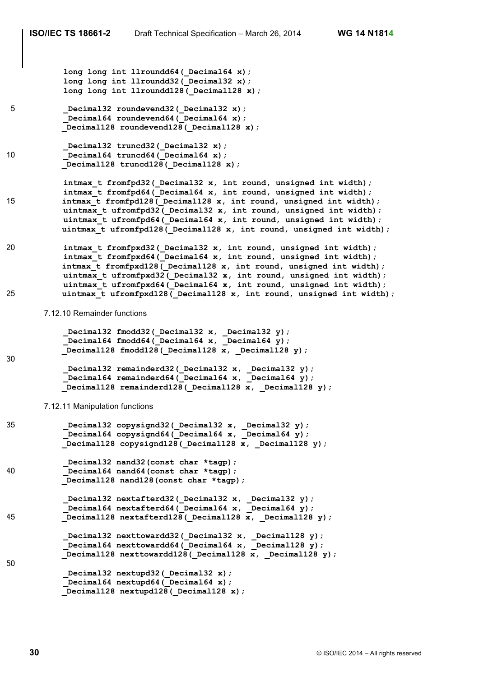```
 long long int llroundd64(_Decimal64 x);
            long long int llroundd32(_Decimal32 x);
            long long int llroundd128(_Decimal128 x);
5 _Decimal32 roundevend32(_Decimal32 x);
            _Decimal64 roundevend64(_Decimal64 x);
           Decimal128 roundevend128 (Decimal128 x);
           Decimal32 truncd32( Decimal32 x);
10 Decimal64 truncd64 (Decimal64 x);
           _Decimal128 truncd128(_Decimal128 x);
            intmax_t fromfpd32(_Decimal32 x, int round, unsigned int width);
            intmax_t fromfpd64(_Decimal64 x, int round, unsigned int width);
15 intmax t fromfpd128 (Decimal128 x, int round, unsigned int width);
            uintmax_t ufromfpd32(_Decimal32 x, int round, unsigned int width);
            uintmax_t ufromfpd64(_Decimal64 x, int round, unsigned int width);
           uintmax t ufromfpd128( Decimal128 x, int round, unsigned int width);
20 intmax_t fromfpxd32(_Decimal32 x, int round, unsigned int width);
           intmax t fromfpxd64(Decimal64 x, int round, unsigned int width);
           intmax_t fromfpxd128(_Decimal128 x, int round, unsigned int width);
            uintmax_t ufromfpxd32(_Decimal32 x, int round, unsigned int width);
            uintmax_t ufromfpxd64(_Decimal64 x, int round, unsigned int width);
25 uintmax_t ufromfpxd128(_Decimal128 x, int round, unsigned int width);
       7.12.10 Remainder functions
            Decimal32 fmodd32(Decimal32 x, Decimal32 y);
            _Decimal64 fmodd64(_Decimal64 x, _Decimal64 y);
           Decimal128 fmodd128( Decimal128 x, Decimal128 y);
30
     _Decimal32 remainderd32(_Decimal32 x, _Decimal32 y);
     _Decimal64 remainderd64(_Decimal64 x, _Decimal64 y);
           Decimal128 remainderd128 (Decimal128 x, Decimal128 y);
       7.12.11 Manipulation functions
35 _Decimal32 copysignd32(_Decimal32 x, _Decimal32 y);
            _Decimal64 copysignd64(_Decimal64 x, _Decimal64 y);
           Decimal128 copysignd128(Decimal128 x, Decimal128 y);
            _Decimal32 nand32(const char *tagp);
40 _Decimal64 nand64(const char *tagp);
           _Decimal128 nand128(const char *tagp);
            Decimal32 nextafterd32( Decimal32 x, Decimal32 y);
           Decimal64 nextafterd64( Decimal64 x, Decimal64 y);
45 _Decimal128 nextafterd128(_Decimal128 x, _Decimal128 y);
            Decimal32 nexttowardd32(Decimal32 x, Decimal128 y);
           -<br>
Decimal64 nexttowardd64(Decimal64 x, Decimal128 y);
           _Decimal128 nexttowardd128(_Decimal128 x, _Decimal128 y);
50
            _Decimal32 nextupd32(_Decimal32 x);
            _Decimal64 nextupd64(_Decimal64 x);
           Decimal128 nextupd128( Decimal128 x);
```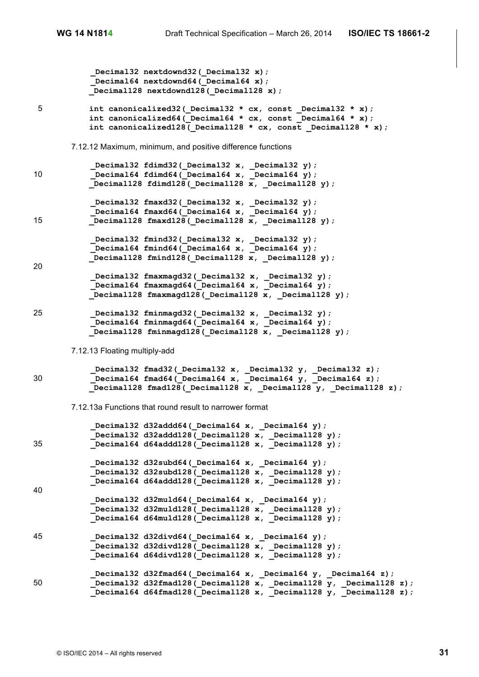**\_Decimal32 nextdownd32(\_Decimal32 x); \_Decimal64 nextdownd64(\_Decimal64 x); \_Decimal128 nextdownd128(\_Decimal128 x);** 5 **int canonicalized32(\_Decimal32 \* cx, const \_Decimal32 \* x); int canonicalized64(\_Decimal64 \* cx, const \_Decimal64 \* x);**  $int canonicalized128($  Decimal128 **\*** cx, const Decimal128 **\*** x); 7.12.12 Maximum, minimum, and positive difference functions Decimal32 fdimd32(Decimal32 x, Decimal32 y); 10 **Decimal64 fdimd64** (Decimal64 x, Decimal64 y); Decimal128 fdimd128(Decimal128 x, Decimal128 y);  **\_Decimal32 fmaxd32(\_Decimal32 x, \_Decimal32 y); \_Decimal64 fmaxd64(\_Decimal64 x, \_Decimal64 y);** 15 **Decimal128 fmaxd128(** Decimal128 x, Decimal128 y);  **\_Decimal32 fmind32(\_Decimal32 x, \_Decimal32 y); \_Decimal64 fmind64(\_Decimal64 x, \_Decimal64 y);** Decimal128 fmind128( Decimal128 x, Decimal128 y); 20  **\_Decimal32 fmaxmagd32(\_Decimal32 x, \_Decimal32 y); \_Decimal64 fmaxmagd64(\_Decimal64 x, \_Decimal64 y);** Decimal128 fmaxmagd128( Decimal128 x, Decimal128 y); 25 **\_Decimal32 fminmagd32(\_Decimal32 x, \_Decimal32 y);** Decimal64 fminmagd64( Decimal64 x, Decimal64 y); Decimal128 fminmagd128(Decimal128 x, Decimal128 y); 7.12.13 Floating multiply-add  **\_Decimal32 fmad32(\_Decimal32 x, \_Decimal32 y, \_Decimal32 z);** 30 **\_Decimal64 fmad64(\_Decimal64 x, \_Decimal64 y, \_Decimal64 z); \_Decimal128 fmad128(\_Decimal128 x, \_Decimal128 y, \_Decimal128 z);** 7.12.13a Functions that round result to narrower format Decimal32 d32addd64(Decimal64 x, Decimal64 y);  **\_Decimal32 d32addd128(\_Decimal128 x, \_Decimal128 y);** 35 **\_Decimal64 d64addd128(\_Decimal128 x, \_Decimal128 y);** Decimal32 d32subd64( Decimal64 x, Decimal64 y);  $\overline{\phantom{a}}$ Decimal32 d32subd128(Decimal128 x, \_Decimal128 y); Decimal64 d64addd128 (Decimal128 x, Decimal128 y); 40  **\_Decimal32 d32muld64(\_Decimal64 x, \_Decimal64 y); \_Decimal32 d32muld128(\_Decimal128 x, \_Decimal128 y);** Decimal64 d64muld128( Decimal128 x, Decimal128 y); 45 **\_Decimal32 d32divd64(\_Decimal64 x, \_Decimal64 y); \_Decimal32 d32divd128(\_Decimal128 x, \_Decimal128 y);** Decimal64 d64divd128(Decimal128 x, Decimal128 y);  **\_Decimal32 d32fmad64(\_Decimal64 x, \_Decimal64 y, \_Decimal64 z);** 50 **\_Decimal32 d32fmad128(\_Decimal128 x, \_Decimal128 y, \_Decimal128 z); \_Decimal64 d64fmad128(\_Decimal128 x, \_Decimal128 y, \_Decimal128 z);**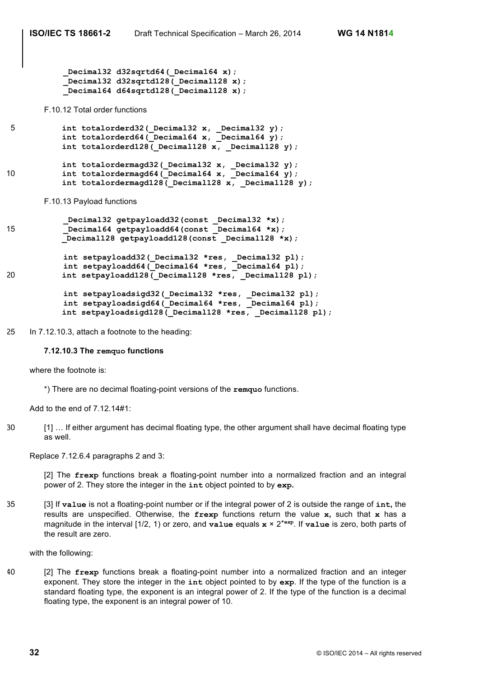```
Decimal32 d32sqrtd64( Decimal64 x);
             _Decimal32 d32sqrtd128(_Decimal128 x);
            Decimal64 d64sqrtd128( Decimal128 x);
       F.10.12 Total order functions
5 int totalorderd32(Decimal32 x, Decimal32 y);
           int totalorderd64( Decimal64 x, Decimal64 y);
           int total ordered128() Decimal128 \overline{x}, Decimal128 \overline{y});
           int totalordermagd32(_Decimal32 x, _Decimal32 y);
10 int totalordermagd64 (Decimal64 x, Decimal64 y);
           int totalordermagd128(_Decimal128 x, _Decimal128 y);
       F.10.13 Payload functions
      _Decimal32 getpayloadd32(const _Decimal32 *x);
15 _Decimal64 getpayloadd64(const _Decimal64 *x);
           _Decimal128 getpayloadd128(const _Decimal128 *x);
            int setpayloadd32(_Decimal32 *res, _Decimal32 pl);
            int setpayloadd64(_Decimal64 *res, _Decimal64 pl);
20 int setpayloadd128(_Decimal128 *res, _Decimal128 pl);
```

```
 int setpayloadsigd32(_Decimal32 *res, _Decimal32 pl);
 int setpayloadsigd64(_Decimal64 *res, _Decimal64 pl);
int setpayloadsigd128( Decimal128 *res, Decimal128 pl);
```
25 In 7.12.10.3, attach a footnote to the heading:

#### **7.12.10.3 The remquo functions**

where the footnote is:

\*) There are no decimal floating-point versions of the **remquo** functions.

Add to the end of 7.12.14#1:

30 [1] … If either argument has decimal floating type, the other argument shall have decimal floating type as well.

Replace 7.12.6.4 paragraphs 2 and 3:

[2] The **frexp** functions break a floating-point number into a normalized fraction and an integral power of 2. They store the integer in the **int** object pointed to by **exp.**

35 [3] If **value** is not a floating-point number or if the integral power of 2 is outside the range of **int,** the results are unspecified. Otherwise, the **frexp** functions return the value **x,** such that **x** has a magnitude in the interval [1/2, 1) or zero, and **value** equals **x** × 2**\*exp**. If **value** is zero, both parts of the result are zero.

with the following:

40 [2] The **frexp** functions break a floating-point number into a normalized fraction and an integer exponent. They store the integer in the **int** object pointed to by **exp**. If the type of the function is a standard floating type, the exponent is an integral power of 2. If the type of the function is a decimal floating type, the exponent is an integral power of 10.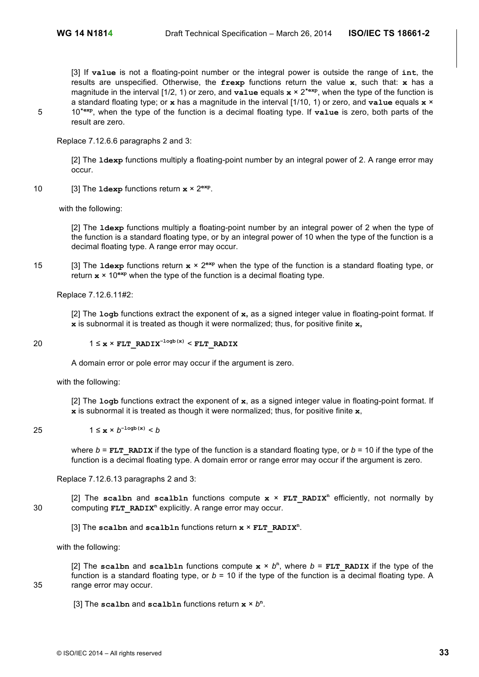[3] If **value** is not a floating-point number or the integral power is outside the range of **int**, the results are unspecified. Otherwise, the **frexp** functions return the value **x**, such that: **x** has a magnitude in the interval [1/2, 1) or zero, and **value** equals **x** × 2**\*exp**, when the type of the function is a standard floating type; or **x** has a magnitude in the interval [1/10, 1) or zero, and **value** equals **x** × 10**\*exp** 5 , when the type of the function is a decimal floating type. If **value** is zero, both parts of the result are zero.

Replace 7.12.6.6 paragraphs 2 and 3:

[2] The **ldexp** functions multiply a floating-point number by an integral power of 2. A range error may occur.

10 [3] The  $1$ dexp functions return  $x \times 2^{exp}$ .

with the following:

[2] The **ldexp** functions multiply a floating-point number by an integral power of 2 when the type of the function is a standard floating type, or by an integral power of 10 when the type of the function is a decimal floating type. A range error may occur.

15 [3] The **ldexp** functions return  $x \times 2^{\exp}$  when the type of the function is a standard floating type, or return  $x \times 10^{exp}$  when the type of the function is a decimal floating type.

Replace 7.12.6.11#2:

[2] The **logb** functions extract the exponent of **x,** as a signed integer value in floating-point format. If **x** is subnormal it is treated as though it were normalized; thus, for positive finite **x,**

1 ≤ **x** × **FLT\_RADIX<sup>−</sup>logb(x)** 20 < **FLT\_RADIX**

A domain error or pole error may occur if the argument is zero.

with the following:

[2] The **logb** functions extract the exponent of **x**, as a signed integer value in floating-point format. If **x** is subnormal it is treated as though it were normalized; thus, for positive finite **x**,

$$
25 \qquad \qquad 1 \leq \mathbf{x} \times b^{-\log b(\mathbf{x})} < b
$$

where  $b = FLT$  RADIX if the type of the function is a standard floating type, or  $b = 10$  if the type of the function is a decimal floating type. A domain error or range error may occur if the argument is zero.

Replace 7.12.6.13 paragraphs 2 and 3:

 $[2]$  The scalbn and scalbln functions compute  $x \times FLT$  RADIX<sup>n</sup> efficiently, not normally by 30 computing **FLT** RADIX<sup>n</sup> explicitly. A range error may occur.

[3] The **scalbn** and **scalbln** functions return **x** × **FLT\_RADIX<sup>n</sup>** .

with the following:

[2] The scalbn and scalbln functions compute  $x \times b^n$ , where  $b = FLT$  RADIX if the type of the function is a standard floating type, or  $b = 10$  if the type of the function is a decimal floating type. A 35 range error may occur.

[3] The scalbn and scalbln functions return  $x \times b^n$ .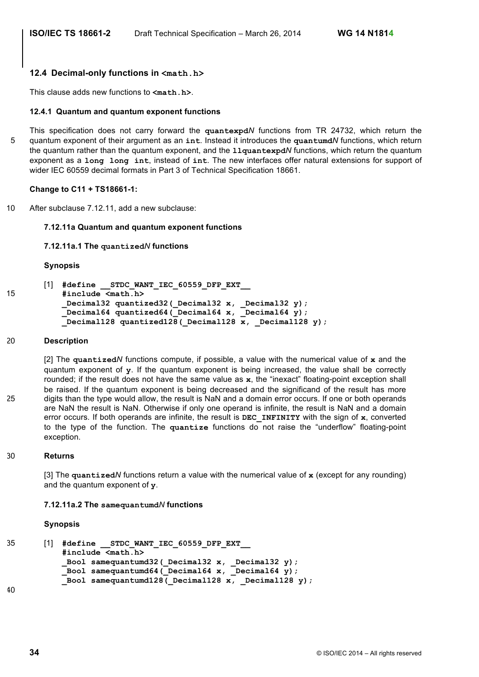## **12.4 Decimal-only functions in <math.h>**

This clause adds new functions to **<math.h>**.

### **12.4.1 Quantum and quantum exponent functions**

This specification does not carry forward the **quantexpd***N* functions from TR 24732, which return the 5 quantum exponent of their argument as an **int**. Instead it introduces the **quantumd***N* functions, which return the quantum rather than the quantum exponent, and the **llquantexpd***N* functions, which return the quantum exponent as a **long long int**, instead of **int**. The new interfaces offer natural extensions for support of wider IEC 60559 decimal formats in Part 3 of Technical Specification 18661.

### **Change to C11 + TS18661-1:**

10 After subclause 7.12.11, add a new subclause:

### **7.12.11a Quantum and quantum exponent functions**

### **7.12.11a.1 The quantized***N* **functions**

### **Synopsis**

```
[1] #define __STDC_WANT_IEC_60559_DFP_EXT__
15 #include <math.h>
          Decimal32 quantized32( Decimal32 x, Decimal32 y);
          Decimal64 quantized64( Decimal64 x, Decimal64 y);
           Decimal128 quantized128( Decimal128 x, Decimal128 y);
```
### 20 **Description**

[2] The **quantized***N* functions compute, if possible, a value with the numerical value of **x** and the quantum exponent of **y**. If the quantum exponent is being increased, the value shall be correctly rounded; if the result does not have the same value as **x**, the "inexact" floating-point exception shall be raised. If the quantum exponent is being decreased and the significand of the result has more 25 digits than the type would allow, the result is NaN and a domain error occurs. If one or both operands are NaN the result is NaN. Otherwise if only one operand is infinite, the result is NaN and a domain error occurs. If both operands are infinite, the result is **DEC\_INFINITY** with the sign of **x**, converted to the type of the function. The **quantize** functions do not raise the "underflow" floating-point exception.

## 30 **Returns**

[3] The **quantized***N* functions return a value with the numerical value of **x** (except for any rounding) and the quantum exponent of **y**.

#### **7.12.11a.2 The samequantumd***N* **functions**

### **Synopsis**

```
35 [1] #define __STDC_WANT_IEC_60559_DFP_EXT__
           #include <math.h>
           Bool samequantumd32(Decimal32 x, Decimal32 y);
           _Bool samequantumd64(_Decimal64 x, _Decimal64 y);
           _Bool samequantumd128(_Decimal128 x, _Decimal128 y); 
40
```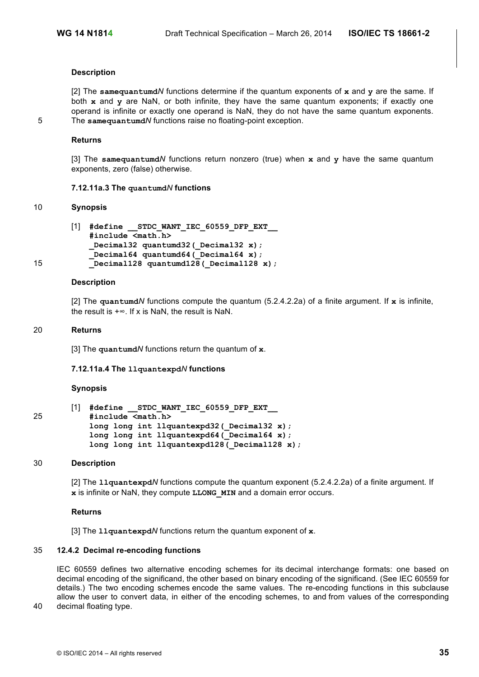### **Description**

[2] The **samequantumd***N* functions determine if the quantum exponents of **x** and **y** are the same. If both **x** and **y** are NaN, or both infinite, they have the same quantum exponents; if exactly one operand is infinite or exactly one operand is NaN, they do not have the same quantum exponents. 5 The **samequantumd***N* functions raise no floating-point exception.

#### **Returns**

[3] The **samequantumd***N* functions return nonzero (true) when **x** and **y** have the same quantum exponents, zero (false) otherwise.

#### **7.12.11a.3 The quantumd***N* **functions**

#### 10 **Synopsis**

```
[1] #define __STDC_WANT_IEC_60559_DFP_EXT__
           #include <math.h>
           _Decimal32 quantumd32(_Decimal32 x);
           _Decimal64 quantumd64(_Decimal64 x);
15 _Decimal128 quantumd128(_Decimal128 x);
```
#### **Description**

[2] The **quantumd***N* functions compute the quantum (5.2.4.2.2a) of a finite argument. If **x** is infinite, the result is  $+\infty$ . If x is NaN, the result is NaN.

### 20 **Returns**

[3] The **quantumd***N* functions return the quantum of **x**.

#### **7.12.11a.4 The llquantexpd***N* **functions**

#### **Synopsis**

[1] **#define \_\_STDC\_WANT\_IEC\_60559\_DFP\_EXT\_\_** 25 **#include <math.h> long long int llquantexpd32(\_Decimal32 x); long long int llquantexpd64(\_Decimal64 x); long long int llquantexpd128(\_Decimal128 x);** 

### 30 **Description**

[2] The **llquantexpd***N* functions compute the quantum exponent (5.2.4.2.2a) of a finite argument. If **x** is infinite or NaN, they compute **LLONG\_MIN** and a domain error occurs.

#### **Returns**

[3] The **llquantexpd***N* functions return the quantum exponent of **x**.

## 35 **12.4.2 Decimal re-encoding functions**

IEC 60559 defines two alternative encoding schemes for its decimal interchange formats: one based on decimal encoding of the significand, the other based on binary encoding of the significand. (See IEC 60559 for details.) The two encoding schemes encode the same values. The re-encoding functions in this subclause allow the user to convert data, in either of the encoding schemes, to and from values of the corresponding

40 decimal floating type.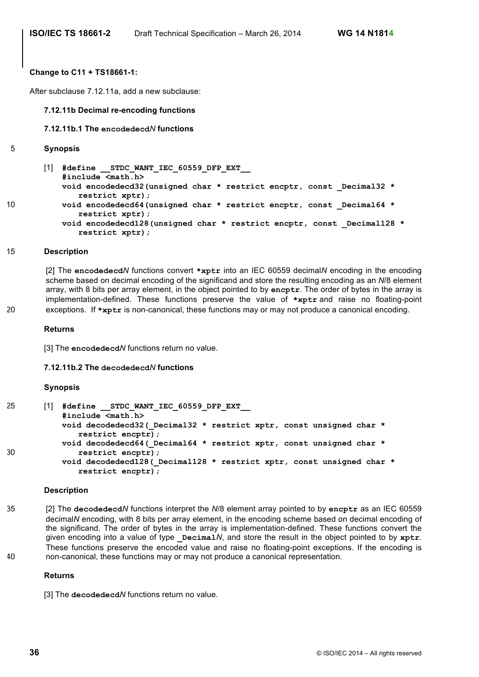### **Change to C11 + TS18661-1:**

After subclause 7.12.11a, add a new subclause:

### **7.12.11b Decimal re-encoding functions**

### **7.12.11b.1 The encodedecd***N* **functions**

```
5 Synopsis
```

```
[1] #define __STDC_WANT_IEC_60559_DFP_EXT__
           #include <math.h>
           void encodedecd32(unsigned char * restrict encptr, const _Decimal32 *
              restrict xptr);
10 void encodedecd64(unsigned char * restrict encptr, const _Decimal64 *
              restrict xptr);
           void encodedecd128(unsigned char * restrict encptr, const _Decimal128 *
              restrict xptr);
```
### 15 **Description**

[2] The **encodedecd***N* functions convert **\*xptr** into an IEC 60559 decimal*N* encoding in the encoding scheme based on decimal encoding of the significand and store the resulting encoding as an *N*/8 element array, with 8 bits per array element, in the object pointed to by **encptr**. The order of bytes in the array is implementation-defined. These functions preserve the value of **\*xptr** and raise no floating-point 20 exceptions. If **\*xptr** is non-canonical, these functions may or may not produce a canonical encoding.

### **Returns**

[3] The **encodedecd***N* functions return no value.

#### **7.12.11b.2 The decodedecd***N* **functions**

#### **Synopsis**

```
25 [1] #define __STDC_WANT_IEC_60559_DFP_EXT__
           #include <math.h>
           void decodedecd32(_Decimal32 * restrict xptr, const unsigned char *
              restrict encptr);
           void decodedecd64(_Decimal64 * restrict xptr, const unsigned char *
30 restrict encptr);
           void decodedecd128(_Decimal128 * restrict xptr, const unsigned char *
              restrict encptr);
```
#### **Description**

35 [2] The **decodedecd***N* functions interpret the *N*/8 element array pointed to by **encptr** as an IEC 60559 decimal*N* encoding, with 8 bits per array element, in the encoding scheme based on decimal encoding of the significand. The order of bytes in the array is implementation-defined. These functions convert the given encoding into a value of type **\_Decimal***N*, and store the result in the object pointed to by **xptr**. These functions preserve the encoded value and raise no floating-point exceptions. If the encoding is 40 non-canonical, these functions may or may not produce a canonical representation.

#### **Returns**

[3] The **decodedecd***N* functions return no value.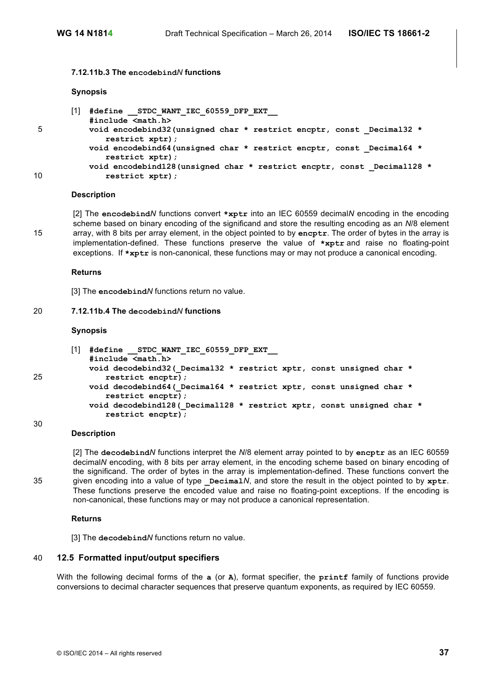### **7.12.11b.3 The encodebind***N* **functions**

#### **Synopsis**

```
[1] #define __STDC_WANT_IEC_60559_DFP_EXT__
           #include <math.h>
5 void encodebind32(unsigned char * restrict encptr, const _Decimal32 *
              restrict xptr);
           void encodebind64(unsigned char * restrict encptr, const _Decimal64 *
              restrict xptr);
           void encodebind128(unsigned char * restrict encptr, const _Decimal128 *
10 restrict xptr);
```
#### **Description**

30

[2] The **encodebind***N* functions convert **\*xptr** into an IEC 60559 decimal*N* encoding in the encoding scheme based on binary encoding of the significand and store the resulting encoding as an *N*/8 element 15 array, with 8 bits per array element, in the object pointed to by **encptr**. The order of bytes in the array is implementation-defined. These functions preserve the value of **\*xptr** and raise no floating-point exceptions. If **\*xptr** is non-canonical, these functions may or may not produce a canonical encoding.

#### **Returns**

[3] The **encodebind***N* functions return no value.

#### 20 **7.12.11b.4 The decodebind***N* **functions**

#### **Synopsis**

|    | #define STDC WANT IEC 60559 DFP EXT                                    |
|----|------------------------------------------------------------------------|
|    | #include <math.h></math.h>                                             |
|    | void decodebind32 ( Decimal32 * restrict xptr, const unsigned char *   |
| 25 | restrict encptr);                                                      |
|    | void decodebind64 ( Decimal64 * restrict xptr, const unsigned char *   |
|    | restrict encptr);                                                      |
|    | void decodebind128 ( Decimal128 * restrict xptr, const unsigned char * |
|    | restrict encptr);                                                      |

#### **Description**

[2] The **decodebind***N* functions interpret the *N*/8 element array pointed to by **encptr** as an IEC 60559 decimal*N* encoding, with 8 bits per array element, in the encoding scheme based on binary encoding of the significand. The order of bytes in the array is implementation-defined. These functions convert the 35 given encoding into a value of type **\_Decimal***N*, and store the result in the object pointed to by **xptr**. These functions preserve the encoded value and raise no floating-point exceptions. If the encoding is non-canonical, these functions may or may not produce a canonical representation.

**Returns**

[3] The **decodebind***N* functions return no value.

## 40 **12.5 Formatted input/output specifiers**

With the following decimal forms of the **a** (or **A**), format specifier, the **printf** family of functions provide conversions to decimal character sequences that preserve quantum exponents, as required by IEC 60559.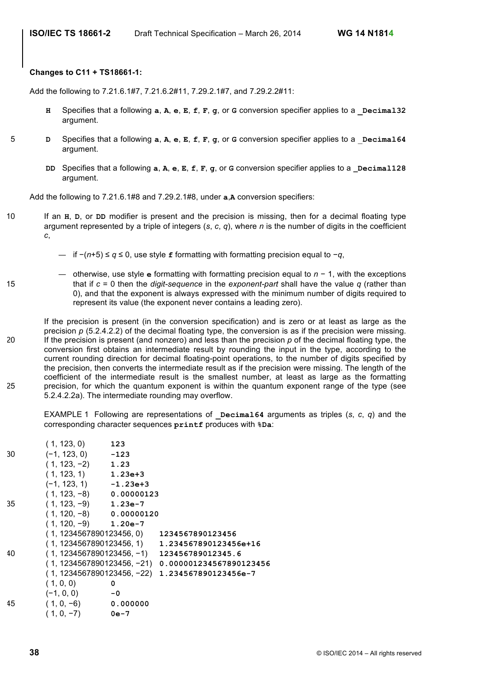### **Changes to C11 + TS18661-1:**

Add the following to 7.21.6.1#7, 7.21.6.2#11, 7.29.2.1#7, and 7.29.2.2#11:

- **H** Specifies that a following **a**, **A**, **e**, **E**, **f**, **F**, **q**, or **G** conversion specifier applies to a **Decimal32** argument.
- 5 **D** Specifies that a following **a**, **A**, **e**, **E**, **f**, **F**, **g**, or **G** conversion specifier applies to a \_**Decimal64** argument.
	- **DD** Specifies that a following **a**, **A**, **e**, **E**, **f**, **F**, **g**, or **G** conversion specifier applies to a **\_Decimal128** argument.

Add the following to 7.21.6.1#8 and 7.29.2.1#8, under **a**,**A** conversion specifiers:

- 10 If an **H**, **D**, or **DD** modifier is present and the precision is missing, then for a decimal floating type argument represented by a triple of integers (*s*, *c*, *q*), where *n* is the number of digits in the coefficient *c*,
	- if −(*n*+5) ≤ *q* ≤ 0, use style **f** formatting with formatting precision equal to −*q*,
- otherwise, use style **e** formatting with formatting precision equal to *n* − 1, with the exceptions 15 that if *c* = 0 then the *digit-sequence* in the *exponent-part* shall have the value *q* (rather than 0), and that the exponent is always expressed with the minimum number of digits required to represent its value (the exponent never contains a leading zero).
- If the precision is present (in the conversion specification) and is zero or at least as large as the precision *p* (5.2.4.2.2) of the decimal floating type, the conversion is as if the precision were missing. 20 If the precision is present (and nonzero) and less than the precision *p* of the decimal floating type, the conversion first obtains an intermediate result by rounding the input in the type, according to the current rounding direction for decimal floating-point operations, to the number of digits specified by the precision, then converts the intermediate result as if the precision were missing. The length of the coefficient of the intermediate result is the smallest number, at least as large as the formatting 25 precision, for which the quantum exponent is within the quantum exponent range of the type (see 5.2.4.2.2a). The intermediate rounding may overflow.

EXAMPLE 1 Following are representations of **Decimal64** arguments as triples  $(s, c, q)$  and the corresponding character sequences **printf** produces with **%Da**:

|    | (1, 123, 0)               | 123      |                                                      |
|----|---------------------------|----------|------------------------------------------------------|
| 30 | $(-1, 123, 0)$            | -123     |                                                      |
|    | $(1, 123, -2)$ 1.23       |          |                                                      |
|    | $(1, 123, 1)$ 1.23e+3     |          |                                                      |
|    | $(-1, 123, 1)$ $-1.23e+3$ |          |                                                      |
|    | $(1, 123, -8)$ 0.00000123 |          |                                                      |
| 35 | $(1, 123, -9)$ 1.23e-7    |          |                                                      |
|    | $(1, 120, -8)$ 0.00000120 |          |                                                      |
|    | $(1, 120, -9)$ 1.20e-7    |          |                                                      |
|    |                           |          | $(1, 1234567890123456, 0)$ 1234567890123456          |
|    |                           |          | $(1, 1234567890123456, 1)$ 1.234567890123456e+16     |
| 40 |                           |          | $(1, 1234567890123456, -1)$ 123456789012345.6        |
|    |                           |          | $(1, 1234567890123456, -21)$ 0.000001234567890123456 |
|    |                           |          | $(1, 1234567890123456, -22)$ 1.234567890123456e-7    |
|    | (1, 0, 0)                 | 0        |                                                      |
|    | $(-1, 0, 0)$              | -0       |                                                      |
| 45 | $(1, 0, -6)$              | 0.000000 |                                                      |
|    | $(1, 0, -7)$              | $0e-7$   |                                                      |
|    |                           |          |                                                      |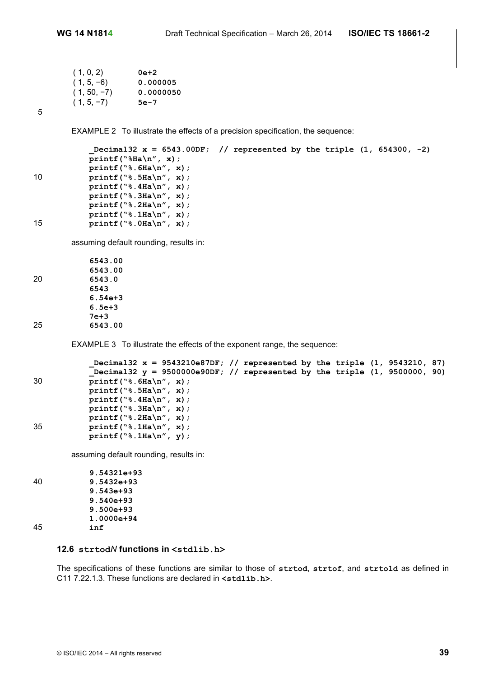| (1, 0, 2)     | 0e+2      |
|---------------|-----------|
| $(1, 5, -6)$  | 0.000005  |
| $(1, 50, -7)$ | 0.0000050 |
| $(1, 5, -7)$  | $5e-7$    |
|               |           |

5

EXAMPLE 2 To illustrate the effects of a precision specification, the sequence:

```
_Decimal32 x = 6543.00DF; // represented by the triple (1, 654300, -2)
           printf("%Ha\n", x);
           printf("%.6Ha\n", x);
10 printf("%.5Ha\n", x);
           printf("%.4Ha\n", x);
           printf("%.3Ha\n", x);
           printf("%.2Ha\n", x);
           printf("%.1Ha\n", x);
```
15 **printf("%.0Ha\n", x);**

assuming default rounding, results in:

|    | 6543.00     |
|----|-------------|
|    | 6543.00     |
| 20 | 6543.0      |
|    | 6543        |
|    | $6.54e + 3$ |
|    | $6.5e + 3$  |
|    | 7e+3        |
| 25 | 6543.00     |

EXAMPLE 3 To illustrate the effects of the exponent range, the sequence:

```
_Decimal32 x = 9543210e87DF; // represented by the triple (1, 9543210, 87)
           _Decimal32 y = 9500000e90DF; // represented by the triple (1, 9500000, 90)
30 printf("%.6Ha\n", x);
          printf("%.5Ha\n", x);
          printf("%.4Ha\n", x);
          printf("%.3Ha\n", x);
          printf("%.2Ha\n", x);
35 printf("%.1Ha\n", x);
          printf("%.1Ha\n", y);
```
assuming default rounding, results in:

```
9.54321e+93
40 9.5432e+93
         9.543e+93
         9.540e+93
         9.500e+93
         1.0000e+94
45 inf
```
## **12.6 strtod***N* **functions in <stdlib.h>**

The specifications of these functions are similar to those of **strtod**, **strtof**, and **strtold** as defined in C11 7.22.1.3. These functions are declared in **<stdlib.h>**.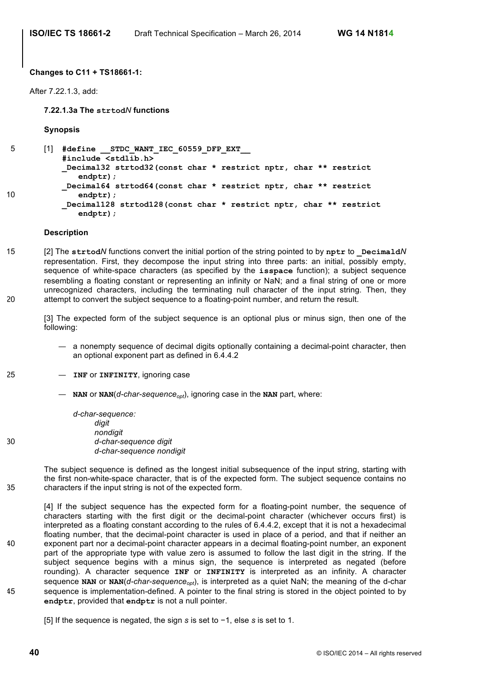#### **Changes to C11 + TS18661-1:**

After 7.22.1.3, add:

**7.22.1.3a The strtod***N* **functions**

**Synopsis**

5 [1] **#define \_\_STDC\_WANT\_IEC\_60559\_DFP\_EXT\_\_ #include <stdlib.h> \_Decimal32 strtod32(const char \* restrict nptr, char \*\* restrict endptr); \_Decimal64 strtod64(const char \* restrict nptr, char \*\* restrict** 10 **endptr); \_Decimal128 strtod128(const char \* restrict nptr, char \*\* restrict endptr);**

#### **Description**

15 [2] The **strtod***N* functions convert the initial portion of the string pointed to by **nptr** to **\_Decimald***N* representation. First, they decompose the input string into three parts: an initial, possibly empty, sequence of white-space characters (as specified by the **isspace** function); a subject sequence resembling a floating constant or representing an infinity or NaN; and a final string of one or more unrecognized characters, including the terminating null character of the input string. Then, they 20 attempt to convert the subject sequence to a floating-point number, and return the result.

[3] The expected form of the subject sequence is an optional plus or minus sign, then one of the following:

- a nonempty sequence of decimal digits optionally containing a decimal-point character, then an optional exponent part as defined in 6.4.4.2
- 25 **INF** or **INFINITY**, ignoring case
	- $-$  **NAN** or **NAN**(*d-char-sequence<sub>opt</sub>)*, ignoring case in the **NAN** part, where:

*d-char-sequence: digit nondigit* 30 *d-char-sequence digit d-char-sequence nondigit*

The subject sequence is defined as the longest initial subsequence of the input string, starting with the first non-white-space character, that is of the expected form. The subject sequence contains no 35 characters if the input string is not of the expected form.

[4] If the subject sequence has the expected form for a floating-point number, the sequence of characters starting with the first digit or the decimal-point character (whichever occurs first) is interpreted as a floating constant according to the rules of 6.4.4.2, except that it is not a hexadecimal floating number, that the decimal-point character is used in place of a period, and that if neither an 40 exponent part nor a decimal-point character appears in a decimal floating-point number, an exponent part of the appropriate type with value zero is assumed to follow the last digit in the string. If the subject sequence begins with a minus sign, the sequence is interpreted as negated (before rounding). A character sequence **INF** or **INFINITY** is interpreted as an infinity. A character sequence **NAN** or **NAN**(*d-char-sequence<sub>opt</sub>*), is interpreted as a quiet NaN; the meaning of the d-char 45 sequence is implementation-defined. A pointer to the final string is stored in the object pointed to by **endptr**, provided that **endptr** is not a null pointer.

[5] If the sequence is negated, the sign *s* is set to −1, else *s* is set to 1.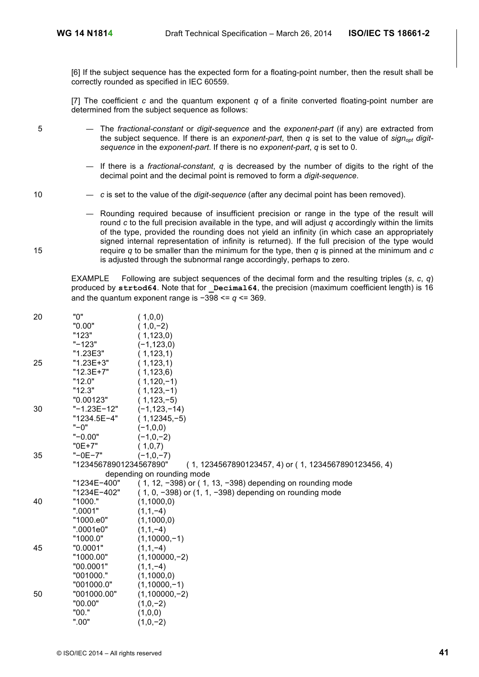[6] If the subject sequence has the expected form for a floating-point number, then the result shall be correctly rounded as specified in IEC 60559.

[7] The coefficient *c* and the quantum exponent *q* of a finite converted floating-point number are determined from the subject sequence as follows:

- 5 The *fractional-constant* or *digit-sequence* and the *exponent-part* (if any) are extracted from the subject sequence. If there is an *exponent-part*, then *q* is set to the value of *sign<sub>opt</sub> digitsequence* in the *exponent-part*. If there is no *exponent-part*, *q* is set to 0.
	- If there is a *fractional-constant*, *q* is decreased by the number of digits to the right of the decimal point and the decimal point is removed to form a *digit-sequence*.
- 10 *c* is set to the value of the *digit-sequence* (after any decimal point has been removed).
- Rounding required because of insufficient precision or range in the type of the result will round *c* to the full precision available in the type, and will adjust *q* accordingly within the limits of the type, provided the rounding does not yield an infinity (in which case an appropriately signed internal representation of infinity is returned). If the full precision of the type would 15 require *q* to be smaller than the minimum for the type, then *q* is pinned at the minimum and *c* is adjusted through the subnormal range accordingly, perhaps to zero.

EXAMPLE Following are subject sequences of the decimal form and the resulting triples (*s*, *c*, *q*) produced by strtod64. Note that for **Decimal64**, the precision (maximum coefficient length) is 16 and the quantum exponent range is −398 <= *q* <= 369.

| 20 | "0"                                                                                | (1,0,0)                                                     |  |  |
|----|------------------------------------------------------------------------------------|-------------------------------------------------------------|--|--|
|    | "0.00"                                                                             | $(1,0,-2)$                                                  |  |  |
|    | "123"                                                                              | (1, 123, 0)                                                 |  |  |
|    | $" - 123"$                                                                         | $(-1, 123, 0)$                                              |  |  |
|    | "1.23E3"                                                                           | (1, 123, 1)                                                 |  |  |
| 25 | "1.23E+3"                                                                          | (1, 123, 1)                                                 |  |  |
|    | $"12.3E+7"$                                                                        | (1, 123, 6)                                                 |  |  |
|    | "12.0"                                                                             | $(1, 120, -1)$                                              |  |  |
|    | "12.3"                                                                             | $(1, 123, -1)$                                              |  |  |
|    | "0.00123"                                                                          | $(1, 123, -5)$                                              |  |  |
| 30 | "-1.23E-12"                                                                        | $(-1, 123, -14)$                                            |  |  |
|    | "1234.5E-4"                                                                        | $(1,12345,-5)$                                              |  |  |
|    | $"$ -0"                                                                            | $(-1,0,0)$                                                  |  |  |
|    | $" -0.00"$                                                                         | $(-1,0,-2)$                                                 |  |  |
|    | "0E+7"                                                                             | (1,0,7)                                                     |  |  |
| 35 | "-0E-7"                                                                            | $(-1,0,-7)$                                                 |  |  |
|    | "12345678901234567890"<br>$(1, 1234567890123457, 4)$ or $(1, 1234567890123456, 4)$ |                                                             |  |  |
|    |                                                                                    | depending on rounding mode                                  |  |  |
|    | "1234E-400"                                                                        | (1, 12, -398) or (1, 13, -398) depending on rounding mode   |  |  |
|    | "1234E-402"                                                                        | $(1, 0, -398)$ or $(1, 1, -398)$ depending on rounding mode |  |  |
| 40 | "1000."                                                                            | (1,1000,0)                                                  |  |  |
|    | ".0001"                                                                            | $(1,1,-4)$                                                  |  |  |
|    | "1000.e0"                                                                          | (1,1000,0)                                                  |  |  |
|    | ".0001e0"                                                                          | $(1,1,-4)$                                                  |  |  |
|    | "1000.0"                                                                           | $(1,10000,-1)$                                              |  |  |
| 45 | "0.0001"                                                                           | $(1,1,-4)$                                                  |  |  |
|    | "1000.00"                                                                          | $(1,100000,-2)$                                             |  |  |
|    | "00.0001"                                                                          | $(1,1,-4)$                                                  |  |  |
|    | "001000."                                                                          | (1,1000,0)                                                  |  |  |
|    | "001000.0"                                                                         | $(1,10000,-1)$                                              |  |  |
| 50 | "001000.00"                                                                        | $(1,100000,-2)$                                             |  |  |
|    | "00.00"                                                                            | $(1,0,-2)$                                                  |  |  |
|    | "00."                                                                              | (1,0,0)                                                     |  |  |
|    | ".00"                                                                              | $(1,0,-2)$                                                  |  |  |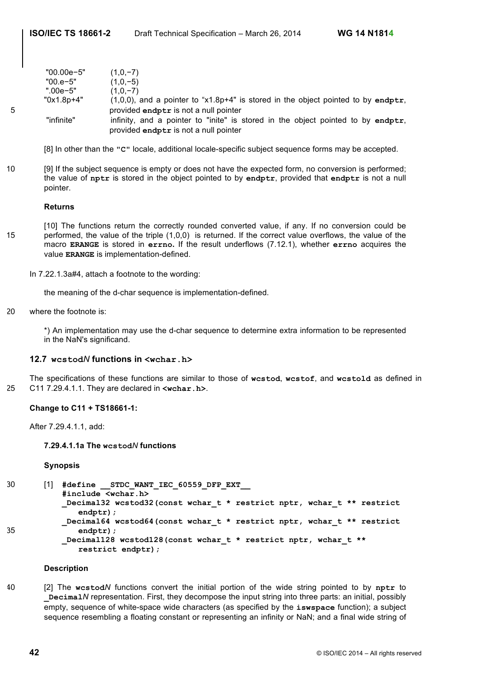|    | $"00.00e-5"$ | $(1,0,-7)$                                                                           |
|----|--------------|--------------------------------------------------------------------------------------|
|    | $"00.e-5"$   | $(1.0,-5)$                                                                           |
|    | ".00e-5"     | $(1.0,-7)$                                                                           |
|    | "0x1.8p+4"   | $(1,0,0)$ , and a pointer to "x1.8p+4" is stored in the object pointed to by endptr, |
| 5. |              | provided endptr is not a null pointer                                                |
|    | "infinite"   | infinity, and a pointer to "inite" is stored in the object pointed to by endptr,     |
|    |              | provided endptr is not a null pointer                                                |

[8] In other than the **"C"** locale, additional locale-specific subject sequence forms may be accepted.

10 [9] If the subject sequence is empty or does not have the expected form, no conversion is performed; the value of **nptr** is stored in the object pointed to by **endptr**, provided that **endptr** is not a null pointer.

### **Returns**

[10] The functions return the correctly rounded converted value, if any. If no conversion could be 15 performed, the value of the triple (1,0,0) is returned. If the correct value overflows, the value of the macro **ERANGE** is stored in **errno.** If the result underflows (7.12.1), whether **errno** acquires the value **ERANGE** is implementation-defined.

In 7.22.1.3a#4, attach a footnote to the wording:

the meaning of the d-char sequence is implementation-defined.

20 where the footnote is:

\*) An implementation may use the d-char sequence to determine extra information to be represented in the NaN's significand.

### **12.7 wcstod***N* **functions in <wchar.h>**

The specifications of these functions are similar to those of **wcstod**, **wcstof**, and **wcstold** as defined in 25 C11 7.29.4.1.1. They are declared in **<wchar.h>**.

## **Change to C11 + TS18661-1:**

After 7.29.4.1.1, add:

**7.29.4.1.1a The wcstod***N* **functions**

**Synopsis**

```
30 [1] #define STDC WANT IEC 60559 DFP EXT
```

```
#include <wchar.h>
           _Decimal32 wcstod32(const wchar_t * restrict nptr, wchar_t ** restrict
              endptr);
           _Decimal64 wcstod64(const wchar_t * restrict nptr, wchar_t ** restrict
35 endptr);
           _Decimal128 wcstod128(const wchar_t * restrict nptr, wchar_t **
              restrict endptr);
```
#### **Description**

40 [2] The **wcstod***N* functions convert the initial portion of the wide string pointed to by **nptr** to **\_Decimal***N* representation. First, they decompose the input string into three parts: an initial, possibly empty, sequence of white-space wide characters (as specified by the **iswspace** function); a subject sequence resembling a floating constant or representing an infinity or NaN; and a final wide string of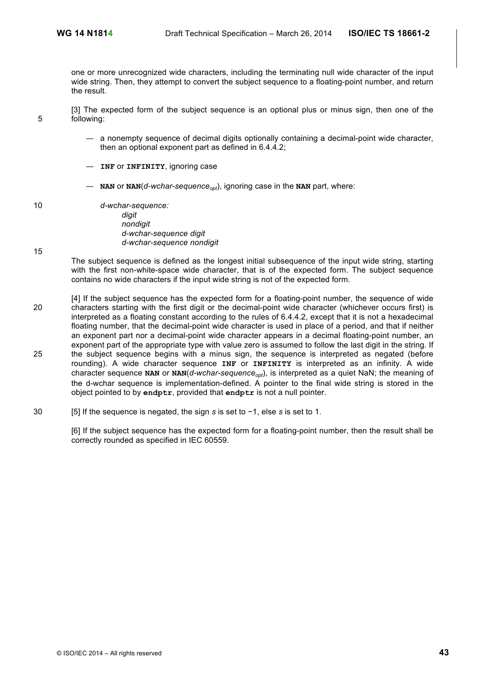one or more unrecognized wide characters, including the terminating null wide character of the input wide string. Then, they attempt to convert the subject sequence to a floating-point number, and return the result.

[3] The expected form of the subject sequence is an optional plus or minus sign, then one of the 5 following:

- a nonempty sequence of decimal digits optionally containing a decimal-point wide character, then an optional exponent part as defined in 6.4.4.2;
- **INF** or **INFINITY**, ignoring case
- $-$  **NAN** or **NAN**(*d-wchar-sequence<sub>opt</sub>)*, ignoring case in the **NAN** part, where:
- 10 *d-wchar-sequence: digit nondigit d-wchar-sequence digit d-wchar-sequence nondigit*

15

The subject sequence is defined as the longest initial subsequence of the input wide string, starting with the first non-white-space wide character, that is of the expected form. The subject sequence contains no wide characters if the input wide string is not of the expected form.

- [4] If the subject sequence has the expected form for a floating-point number, the sequence of wide 20 characters starting with the first digit or the decimal-point wide character (whichever occurs first) is interpreted as a floating constant according to the rules of 6.4.4.2, except that it is not a hexadecimal floating number, that the decimal-point wide character is used in place of a period, and that if neither an exponent part nor a decimal-point wide character appears in a decimal floating-point number, an exponent part of the appropriate type with value zero is assumed to follow the last digit in the string. If 25 the subject sequence begins with a minus sign, the sequence is interpreted as negated (before rounding). A wide character sequence **INF** or **INFINITY** is interpreted as an infinity. A wide character sequence NAN or NAN(*d-wchar-sequence<sub>opt</sub>*), is interpreted as a quiet NaN; the meaning of the d-wchar sequence is implementation-defined. A pointer to the final wide string is stored in the object pointed to by **endptr**, provided that **endptr** is not a null pointer.
- 30 [5] If the sequence is negated, the sign *s* is set to −1, else *s* is set to 1.

[6] If the subject sequence has the expected form for a floating-point number, then the result shall be correctly rounded as specified in IEC 60559.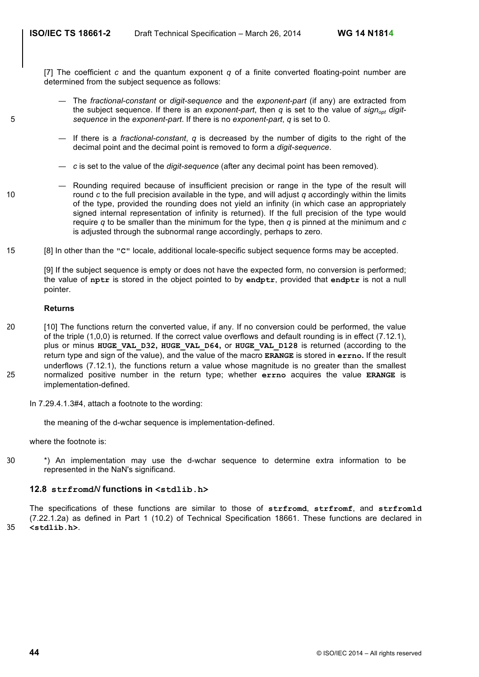[7] The coefficient *c* and the quantum exponent *q* of a finite converted floating-point number are determined from the subject sequence as follows:

- The *fractional-constant* or *digit-sequence* and the *exponent-part* (if any) are extracted from the subject sequence. If there is an *exponent-part*, then *q* is set to the value of *sign<sub>opt</sub> digit-*5 *sequence* in the *exponent-part*. If there is no *exponent-part*, *q* is set to 0.
	- If there is a *fractional-constant*, *q* is decreased by the number of digits to the right of the decimal point and the decimal point is removed to form a *digit-sequence*.
	- *c* is set to the value of the *digit-sequence* (after any decimal point has been removed).
- Rounding required because of insufficient precision or range in the type of the result will 10 round *c* to the full precision available in the type, and will adjust *q* accordingly within the limits of the type, provided the rounding does not yield an infinity (in which case an appropriately signed internal representation of infinity is returned). If the full precision of the type would require *q* to be smaller than the minimum for the type, then *q* is pinned at the minimum and *c* is adjusted through the subnormal range accordingly, perhaps to zero.
- 15 [8] In other than the **"C"** locale, additional locale-specific subject sequence forms may be accepted.

[9] If the subject sequence is empty or does not have the expected form, no conversion is performed; the value of **nptr** is stored in the object pointed to by **endptr**, provided that **endptr** is not a null pointer.

#### **Returns**

- 20 [10] The functions return the converted value, if any. If no conversion could be performed, the value of the triple (1,0,0) is returned. If the correct value overflows and default rounding is in effect (7.12.1), plus or minus **HUGE\_VAL\_D32, HUGE\_VAL\_D64,** or **HUGE\_VAL\_D128** is returned (according to the return type and sign of the value), and the value of the macro **ERANGE** is stored in **errno.** If the result underflows (7.12.1), the functions return a value whose magnitude is no greater than the smallest 25 normalized positive number in the return type; whether **errno** acquires the value **ERANGE** is implementation-defined.
	- In 7.29.4.1.3#4, attach a footnote to the wording:

the meaning of the d-wchar sequence is implementation-defined.

where the footnote is:

30 \*) An implementation may use the d-wchar sequence to determine extra information to be represented in the NaN's significand.

## **12.8 strfromd***N* **functions in <stdlib.h>**

The specifications of these functions are similar to those of **strfromd**, **strfromf**, and **strfromld** (7.22.1.2a) as defined in Part 1 (10.2) of Technical Specification 18661. These functions are declared in 35 **<stdlib.h>**.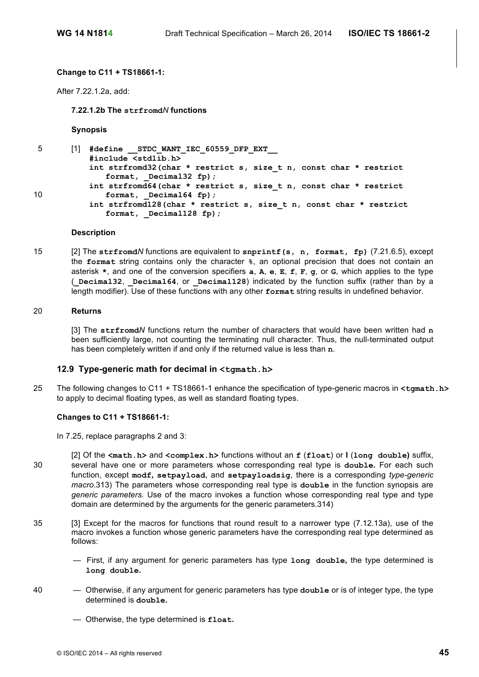## **Change to C11 + TS18661-1:**

After 7.22.1.2a, add:

**7.22.1.2b The strfromd***N* **functions**

**Synopsis**

5 [1] **#define \_\_STDC\_WANT\_IEC\_60559\_DFP\_EXT\_\_ #include <stdlib.h> int strfromd32(char \* restrict s, size\_t n, const char \* restrict** format, Decimal32 fp); **int strfromd64(char \* restrict s, size\_t n, const char \* restrict** 10 **format, \_Decimal64 fp); int strfromd128(char \* restrict s, size\_t n, const char \* restrict** format, Decimal128 fp);

### **Description**

15 [2] The **strfromd***N* functions are equivalent to **snprintf(s, n, format, fp)** (7.21.6.5), except the **format** string contains only the character **%**, an optional precision that does not contain an asterisk **\***, and one of the conversion specifiers **a**, **A**, **e**, **E**, **f**, **F**, **g**, or **G**, which applies to the type (**\_Decimal32**, **\_Decimal64**, or **\_Decimal128**) indicated by the function suffix (rather than by a length modifier). Use of these functions with any other **format** string results in undefined behavior.

### 20 **Returns**

[3] The **strfromd***N* functions return the number of characters that would have been written had **n** been sufficiently large, not counting the terminating null character. Thus, the null-terminated output has been completely written if and only if the returned value is less than **n**.

## **12.9 Type-generic math for decimal in <tgmath.h>**

25 The following changes to C11 + TS18661-1 enhance the specification of type-generic macros in **<tgmath.h>** to apply to decimal floating types, as well as standard floating types.

## **Changes to C11 + TS18661-1:**

In 7.25, replace paragraphs 2 and 3:

- [2] Of the **<math.h>** and **<complex.h>** functions without an **f** (**float**) or **l** (**long double)** suffix, 30 several have one or more parameters whose corresponding real type is **double.** For each such function, except **modf, setpayload**, and **setpayloadsig**, there is a corresponding *type-generic macro*.313) The parameters whose corresponding real type is **double** in the function synopsis are *generic parameters.* Use of the macro invokes a function whose corresponding real type and type domain are determined by the arguments for the generic parameters.314)
- 35 [3] Except for the macros for functions that round result to a narrower type (7.12.13a), use of the macro invokes a function whose generic parameters have the corresponding real type determined as follows:
	- First, if any argument for generic parameters has type **long double,** the type determined is **long double.**
- 40 Otherwise, if any argument for generic parameters has type **double** or is of integer type, the type determined is **double.** 
	- Otherwise, the type determined is **float.**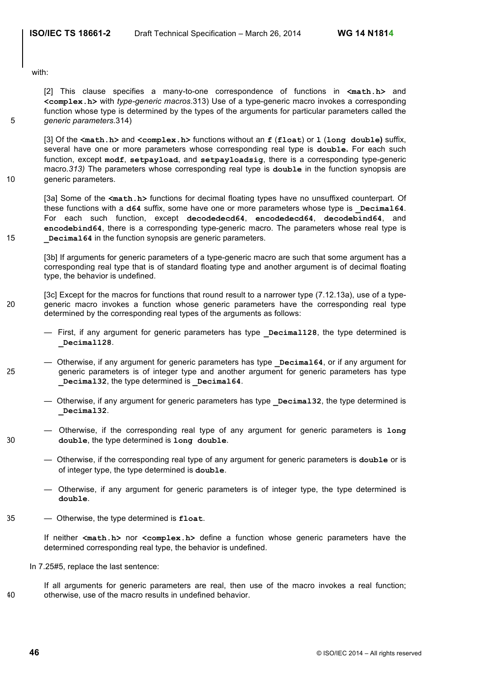with:

[2] This clause specifies a many-to-one correspondence of functions in **<math.h>** and **<complex.h>** with *type-generic macros*.313) Use of a type-generic macro invokes a corresponding function whose type is determined by the types of the arguments for particular parameters called the 5 *generic parameters*.314)

[3] Of the **<math.h>** and **<complex.h>** functions without an **f** (**float**) or **l** (**long double)** suffix, several have one or more parameters whose corresponding real type is **double.** For each such function, except **modf**, **setpayload**, and **setpayloadsig**, there is a corresponding type-generic macro*.313)* The parameters whose corresponding real type is **double** in the function synopsis are 10 generic parameters.

[3a] Some of the **<math.h>** functions for decimal floating types have no unsuffixed counterpart. Of these functions with a d64 suffix, some have one or more parameters whose type is **Decimal64**. For each such function, except **decodedecd64**, **encodedecd64**, **decodebind64**, and **encodebind64**, there is a corresponding type-generic macro. The parameters whose real type is 15 **Decimal64** in the function synopsis are generic parameters.

[3b] If arguments for generic parameters of a type-generic macro are such that some argument has a corresponding real type that is of standard floating type and another argument is of decimal floating type, the behavior is undefined.

- [3c] Except for the macros for functions that round result to a narrower type (7.12.13a), use of a type-20 generic macro invokes a function whose generic parameters have the corresponding real type determined by the corresponding real types of the arguments as follows:
	- First, if any argument for generic parameters has type **Decimal128**, the type determined is **\_Decimal128**.
- Otherwise, if any argument for generic parameters has type **\_Decimal64**, or if any argument for 25 generic parameters is of integer type and another argument for generic parameters has type **Decimal32, the type determined is Decimal64.** 
	- Otherwise, if any argument for generic parameters has type **\_Decimal32**, the type determined is **\_Decimal32**.
- Otherwise, if the corresponding real type of any argument for generic parameters is **long**  30 **double**, the type determined is **long double**.
	- Otherwise, if the corresponding real type of any argument for generic parameters is **double** or is of integer type, the type determined is **double**.
	- Otherwise, if any argument for generic parameters is of integer type, the type determined is **double**.
- 35 Otherwise, the type determined is **float**.

If neither **<math.h>** nor **<complex.h>** define a function whose generic parameters have the determined corresponding real type, the behavior is undefined.

In 7.25#5, replace the last sentence:

If all arguments for generic parameters are real, then use of the macro invokes a real function; 40 otherwise, use of the macro results in undefined behavior.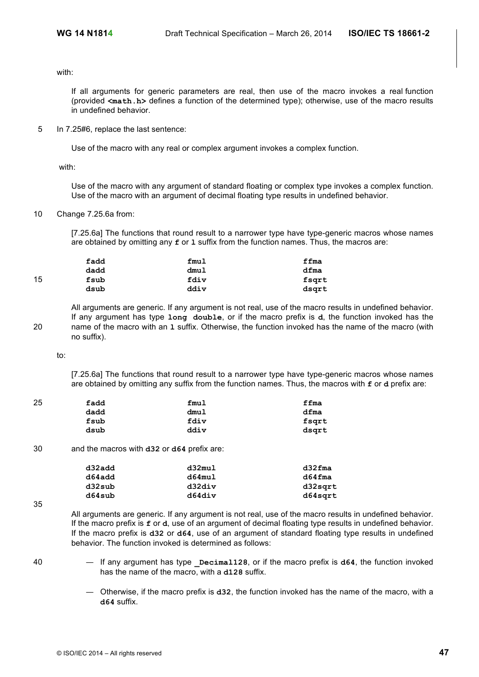with:

If all arguments for generic parameters are real, then use of the macro invokes a real function (provided **<math.h>** defines a function of the determined type); otherwise, use of the macro results in undefined behavior.

5 In 7.25#6, replace the last sentence:

Use of the macro with any real or complex argument invokes a complex function.

with:

Use of the macro with any argument of standard floating or complex type invokes a complex function. Use of the macro with an argument of decimal floating type results in undefined behavior.

10 Change 7.25.6a from:

[7.25.6a] The functions that round result to a narrower type have type-generic macros whose names are obtained by omitting any **f** or **l** suffix from the function names. Thus, the macros are:

|    | fadd | fmul | ffma  |
|----|------|------|-------|
|    | dadd | dmul | dfma  |
| 15 | fsub | fdiv | fsqrt |
|    | dsub | ddiv | dsqrt |

All arguments are generic. If any argument is not real, use of the macro results in undefined behavior. If any argument has type **long double**, or if the macro prefix is **d**, the function invoked has the 20 name of the macro with an **l** suffix. Otherwise, the function invoked has the name of the macro (with no suffix).

#### to:

[7.25.6a] The functions that round result to a narrower type have type-generic macros whose names are obtained by omitting any suffix from the function names. Thus, the macros with **f** or **d** prefix are:

| 25 | fadd | fmul | ffma  |
|----|------|------|-------|
|    | dadd | dmul | dfma  |
|    | fsub | fdiv | fsart |
|    | dsub | ddiv | dsgrt |

30 and the macros with **d32** or **d64** prefix are:

| d32add | d32mul    | $d32$ fma |
|--------|-----------|-----------|
| d64add | $d64$ mul | $d64$ fma |
| d32sub | d32div    | d32sqrt   |
| d64sub | d64div    | d64sart   |

35

All arguments are generic. If any argument is not real, use of the macro results in undefined behavior. If the macro prefix is **f** or **d**, use of an argument of decimal floating type results in undefined behavior. If the macro prefix is **d32** or **d64**, use of an argument of standard floating type results in undefined behavior. The function invoked is determined as follows:

- 
- 40 If any argument has type **\_Decimal128**, or if the macro prefix is **d64**, the function invoked has the name of the macro, with a **d128** suffix.
	- Otherwise, if the macro prefix is **d32**, the function invoked has the name of the macro, with a **d64** suffix.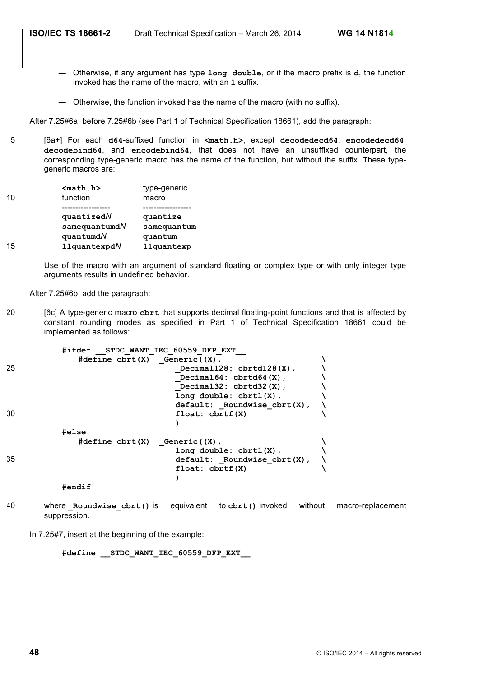- Otherwise, if any argument has type **long double**, or if the macro prefix is **d**, the function invoked has the name of the macro, with an **l** suffix.
- Otherwise, the function invoked has the name of the macro (with no suffix).

After 7.25#6a, before 7.25#6b (see Part 1 of Technical Specification 18661), add the paragraph:

5 [6a+] For each **d64**-suffixed function in **<math.h>**, except **decodedecd64**, **encodedecd64**, **decodebind64**, and **encodebind64**, that does not have an unsuffixed counterpart, the corresponding type-generic macro has the name of the function, but without the suffix. These typegeneric macros are:

|    | $nab.h>$            | type-generic |
|----|---------------------|--------------|
| 10 | function            | macro        |
|    |                     |              |
|    | quantizedN          | quantize     |
|    | $s$ amequantumd $N$ | samequantum  |
|    | quantumdN           | quantum      |
| 15 | $11$ quantexpd $N$  | llquantexp   |
|    |                     |              |

Use of the macro with an argument of standard floating or complex type or with only integer type arguments results in undefined behavior.

After 7.25#6b, add the paragraph:

20 [6c] A type-generic macro **cbrt** that supports decimal floating-point functions and that is affected by constant rounding modes as specified in Part 1 of Technical Specification 18661 could be implemented as follows:

|    | #ifdef                                                 | STDC WANT IEC 60559 DFP EXT      |  |
|----|--------------------------------------------------------|----------------------------------|--|
|    | $\#define \; \text{chrt}(X) \quad \text{Generic}((X),$ |                                  |  |
| 25 |                                                        | Decimal128: chrtd128(X),         |  |
|    |                                                        | Decimal64: $cbrtd64(X)$ ,        |  |
|    |                                                        | Decimal32: chrtd32(X),           |  |
|    |                                                        | $long double: chrt1(X)$ ,        |  |
|    |                                                        | $default:$ Roundwise $cbrt(X)$ , |  |
| 30 |                                                        | float: $cbrtf(X)$                |  |
|    |                                                        |                                  |  |
|    | #else                                                  |                                  |  |
|    | $\#define \; \text{chrt}(X) \quad \text{Generic}((X),$ |                                  |  |
|    |                                                        | $long double: chrt1(X)$ ,        |  |
| 35 |                                                        | $default:$ Roundwise $cbrt(X)$ , |  |
|    |                                                        | float: $cbrtf(X)$                |  |
|    |                                                        |                                  |  |
|    | <b>#endif</b>                                          |                                  |  |

40 where **\_Roundwise\_cbrt()** is equivalent to **cbrt()** invoked without macro-replacement suppression.

In 7.25#7, insert at the beginning of the example:

```
#define __STDC_WANT_IEC_60559_DFP_EXT__
```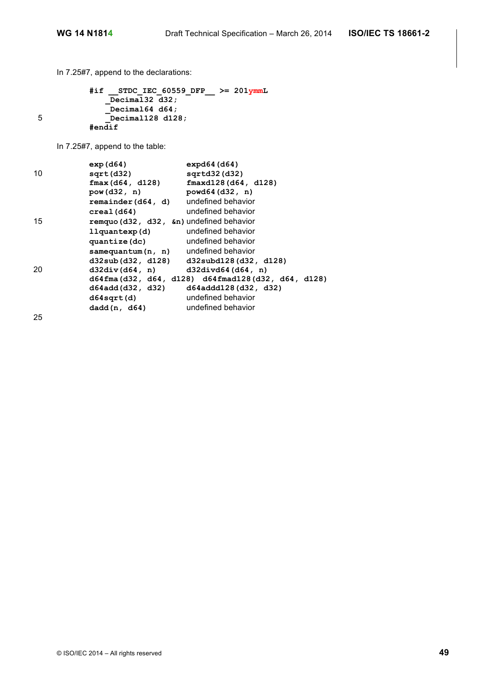In 7.25#7, append to the declarations:

```
#if __STDC_IEC_60559_DFP__ >= 201ymmL
             _Decimal32 d32;
             _Decimal64 d64;
5 _Decimal128 d128;
          #endif
```
In 7.25#7, append to the table:

|    | exp( d64)                                          | $expd64$ (d $64$ )                                   |
|----|----------------------------------------------------|------------------------------------------------------|
| 10 | sqrt(d32)                                          | sqrt(132)(d32)                                       |
|    | fmax(d64, d128)                                    | $frac{d128(d64, d128)}$                              |
|    | pow(d32, n)                                        | powd64(d32, n)                                       |
|    | remainder (d64, d) undefined behavior              |                                                      |
|    | $\texttt{creal}(\texttt{d64})$                     | undefined behavior                                   |
| 15 | remquo (d32, d32, $\epsilon$ n) undefined behavior |                                                      |
|    | llquantexp(d)                                      | undefined behavior                                   |
|    | quantize(dc)                                       | undefined behavior                                   |
|    | $samequantum(n, n)$ undefined behavior             |                                                      |
|    |                                                    | $d32sub(d32, d128)$ $d32subd128(d32, d128)$          |
| 20 | $d32div(d64, n)$ $d32divd64(d64, n)$               |                                                      |
|    |                                                    | $d64$ fma(d32, d64, d128) d64fmad128(d32, d64, d128) |
|    | d64add(d32, d32)                                   | d64add128(d32, d32)                                  |
|    | d64sqrt(d)                                         | undefined behavior                                   |
|    | dadd(n, d64)                                       | undefined behavior                                   |

25